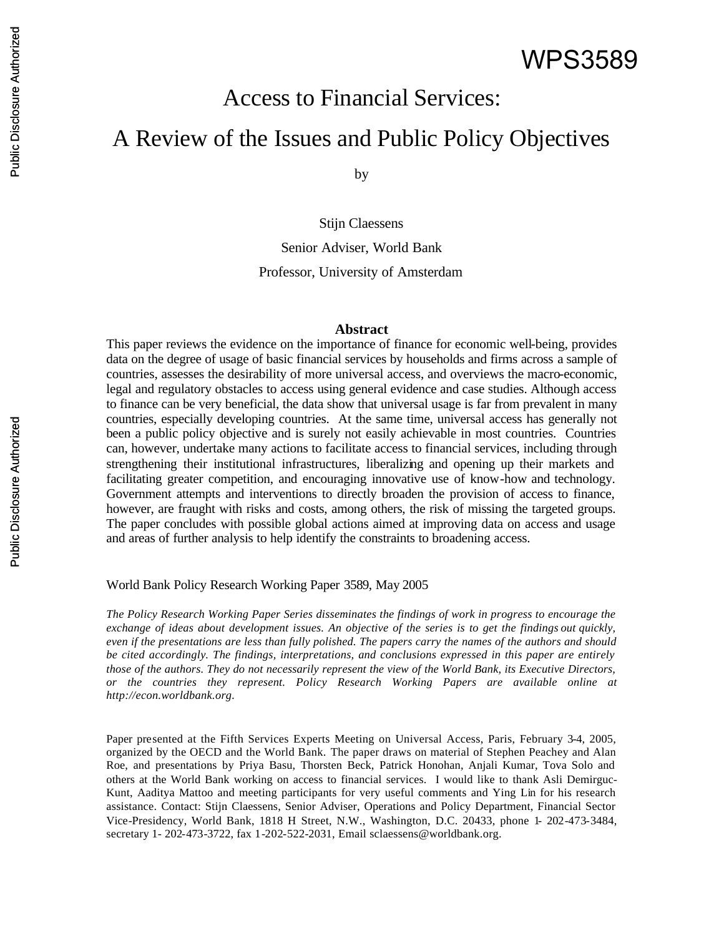# Access to Financial Services:

# A Review of the Issues and Public Policy Objectives

by

Stijn Claessens

Senior Adviser, World Bank Professor, University of Amsterdam

#### **Abstract**

This paper reviews the evidence on the importance of finance for economic well-being, provides data on the degree of usage of basic financial services by households and firms across a sample of countries, assesses the desirability of more universal access, and overviews the macro-economic, legal and regulatory obstacles to access using general evidence and case studies. Although access to finance can be very beneficial, the data show that universal usage is far from prevalent in many countries, especially developing countries. At the same time, universal access has generally not been a public policy objective and is surely not easily achievable in most countries. Countries can, however, undertake many actions to facilitate access to financial services, including through strengthening their institutional infrastructures, liberalizing and opening up their markets and facilitating greater competition, and encouraging innovative use of know-how and technology. Government attempts and interventions to directly broaden the provision of access to finance, however, are fraught with risks and costs, among others, the risk of missing the targeted groups. The paper concludes with possible global actions aimed at improving data on access and usage and areas of further analysis to help identify the constraints to broadening access.

#### World Bank Policy Research Working Paper 3589, May 2005

*The Policy Research Working Paper Series disseminates the findings of work in progress to encourage the exchange of ideas about development issues. An objective of the series is to get the findings out quickly, even if the presentations are less than fully polished. The papers carry the names of the authors and should be cited accordingly. The findings, interpretations, and conclusions expressed in this paper are entirely those of the authors. They do not necessarily represent the view of the World Bank, its Executive Directors, or the countries they represent. Policy Research Working Papers are available online at http://econ.worldbank.org.*

Paper presented at the Fifth Services Experts Meeting on Universal Access, Paris, February 3-4, 2005, organized by the OECD and the World Bank. The paper draws on material of Stephen Peachey and Alan Roe, and presentations by Priya Basu, Thorsten Beck, Patrick Honohan, Anjali Kumar, Tova Solo and others at the World Bank working on access to financial services. I would like to thank Asli Demirguc-Kunt, Aaditya Mattoo and meeting participants for very useful comments and Ying Lin for his research assistance. Contact: Stijn Claessens, Senior Adviser, Operations and Policy Department, Financial Sector Vice-Presidency, World Bank, 1818 H Street, N.W., Washington, D.C. 20433, phone 1- 202-473-3484, secretary 1- 202-473-3722, fax 1-202-522-2031, Email sclaessens@worldbank.org.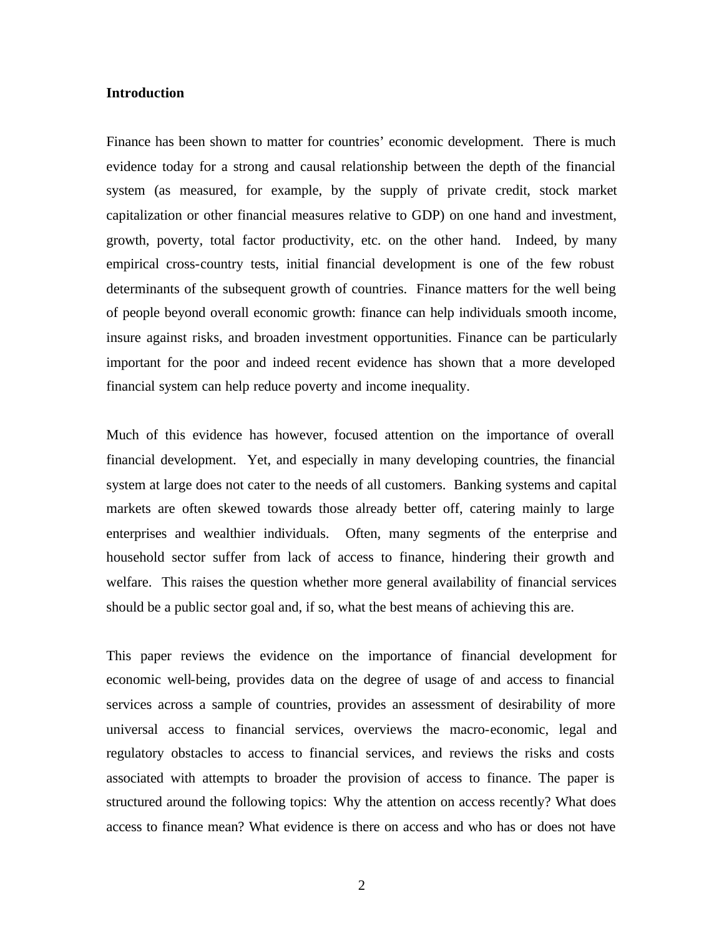#### **Introduction**

Finance has been shown to matter for countries' economic development. There is much evidence today for a strong and causal relationship between the depth of the financial system (as measured, for example, by the supply of private credit, stock market capitalization or other financial measures relative to GDP) on one hand and investment, growth, poverty, total factor productivity, etc. on the other hand. Indeed, by many empirical cross-country tests, initial financial development is one of the few robust determinants of the subsequent growth of countries. Finance matters for the well being of people beyond overall economic growth: finance can help individuals smooth income, insure against risks, and broaden investment opportunities. Finance can be particularly important for the poor and indeed recent evidence has shown that a more developed financial system can help reduce poverty and income inequality.

Much of this evidence has however, focused attention on the importance of overall financial development. Yet, and especially in many developing countries, the financial system at large does not cater to the needs of all customers. Banking systems and capital markets are often skewed towards those already better off, catering mainly to large enterprises and wealthier individuals. Often, many segments of the enterprise and household sector suffer from lack of access to finance, hindering their growth and welfare. This raises the question whether more general availability of financial services should be a public sector goal and, if so, what the best means of achieving this are.

This paper reviews the evidence on the importance of financial development for economic well-being, provides data on the degree of usage of and access to financial services across a sample of countries, provides an assessment of desirability of more universal access to financial services, overviews the macro-economic, legal and regulatory obstacles to access to financial services, and reviews the risks and costs associated with attempts to broader the provision of access to finance. The paper is structured around the following topics: Why the attention on access recently? What does access to finance mean? What evidence is there on access and who has or does not have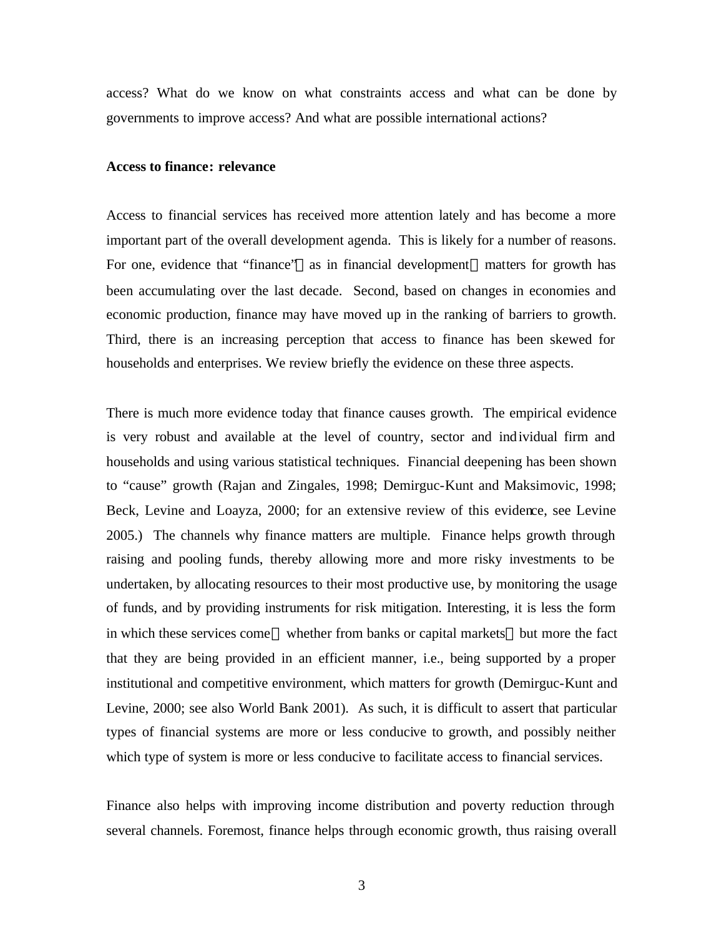access? What do we know on what constraints access and what can be done by governments to improve access? And what are possible international actions?

#### **Access to finance: relevance**

Access to financial services has received more attention lately and has become a more important part of the overall development agenda. This is likely for a number of reasons. For one, evidence that "finance"—as in financial development—matters for growth has been accumulating over the last decade. Second, based on changes in economies and economic production, finance may have moved up in the ranking of barriers to growth. Third, there is an increasing perception that access to finance has been skewed for households and enterprises. We review briefly the evidence on these three aspects.

There is much more evidence today that finance causes growth. The empirical evidence is very robust and available at the level of country, sector and individual firm and households and using various statistical techniques. Financial deepening has been shown to "cause" growth (Rajan and Zingales, 1998; Demirguc-Kunt and Maksimovic, 1998; Beck, Levine and Loayza, 2000; for an extensive review of this evidence, see Levine 2005.) The channels why finance matters are multiple. Finance helps growth through raising and pooling funds, thereby allowing more and more risky investments to be undertaken, by allocating resources to their most productive use, by monitoring the usage of funds, and by providing instruments for risk mitigation. Interesting, it is less the form in which these services come—whether from banks or capital markets—but more the fact that they are being provided in an efficient manner, i.e., being supported by a proper institutional and competitive environment, which matters for growth (Demirguc-Kunt and Levine, 2000; see also World Bank 2001). As such, it is difficult to assert that particular types of financial systems are more or less conducive to growth, and possibly neither which type of system is more or less conducive to facilitate access to financial services.

Finance also helps with improving income distribution and poverty reduction through several channels. Foremost, finance helps through economic growth, thus raising overall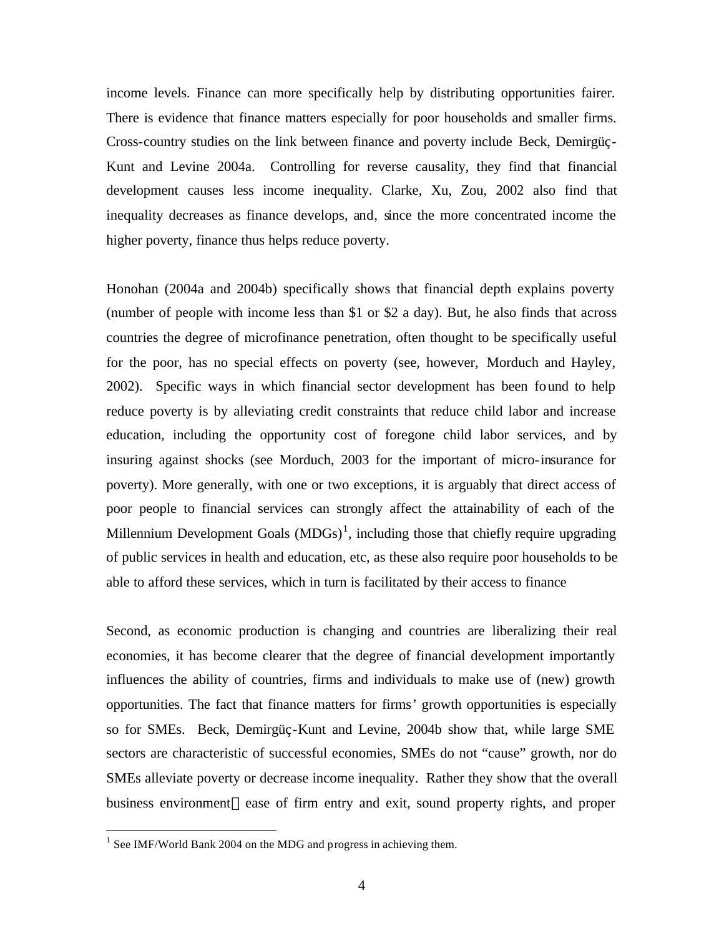income levels. Finance can more specifically help by distributing opportunities fairer. There is evidence that finance matters especially for poor households and smaller firms. Cross-country studies on the link between finance and poverty include Beck, Demirgüç-Kunt and Levine 2004a. Controlling for reverse causality, they find that financial development causes less income inequality. Clarke, Xu, Zou, 2002 also find that inequality decreases as finance develops, and, since the more concentrated income the higher poverty, finance thus helps reduce poverty.

Honohan (2004a and 2004b) specifically shows that financial depth explains poverty (number of people with income less than \$1 or \$2 a day). But, he also finds that across countries the degree of microfinance penetration, often thought to be specifically useful for the poor, has no special effects on poverty (see, however, Morduch and Hayley, 2002). Specific ways in which financial sector development has been found to help reduce poverty is by alleviating credit constraints that reduce child labor and increase education, including the opportunity cost of foregone child labor services, and by insuring against shocks (see Morduch, 2003 for the important of micro-insurance for poverty). More generally, with one or two exceptions, it is arguably that direct access of poor people to financial services can strongly affect the attainability of each of the Millennium Development Goals  $(MDGs)^1$ , including those that chiefly require upgrading of public services in health and education, etc, as these also require poor households to be able to afford these services, which in turn is facilitated by their access to finance

Second, as economic production is changing and countries are liberalizing their real economies, it has become clearer that the degree of financial development importantly influences the ability of countries, firms and individuals to make use of (new) growth opportunities. The fact that finance matters for firms' growth opportunities is especially so for SMEs. Beck, Demirgüç-Kunt and Levine, 2004b show that, while large SME sectors are characteristic of successful economies, SMEs do not "cause" growth, nor do SMEs alleviate poverty or decrease income inequality. Rather they show that the overall business environment—ease of firm entry and exit, sound property rights, and proper

 $\overline{a}$ 

 $1$  See IMF/World Bank 2004 on the MDG and progress in achieving them.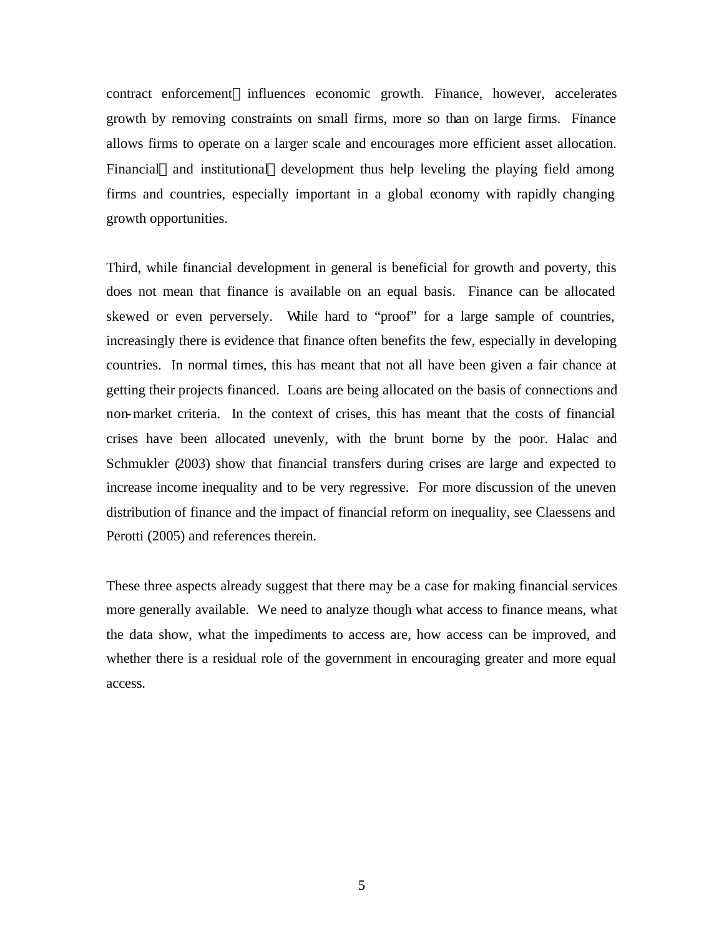contract enforcement—influences economic growth. Finance, however, accelerates growth by removing constraints on small firms, more so than on large firms. Finance allows firms to operate on a larger scale and encourages more efficient asset allocation. Financial—and institutional—development thus help leveling the playing field among firms and countries, especially important in a global economy with rapidly changing growth opportunities.

Third, while financial development in general is beneficial for growth and poverty, this does not mean that finance is available on an equal basis. Finance can be allocated skewed or even perversely. While hard to "proof" for a large sample of countries, increasingly there is evidence that finance often benefits the few, especially in developing countries. In normal times, this has meant that not all have been given a fair chance at getting their projects financed. Loans are being allocated on the basis of connections and non-market criteria. In the context of crises, this has meant that the costs of financial crises have been allocated unevenly, with the brunt borne by the poor. Halac and Schmukler (2003) show that financial transfers during crises are large and expected to increase income inequality and to be very regressive. For more discussion of the uneven distribution of finance and the impact of financial reform on inequality, see Claessens and Perotti (2005) and references therein.

These three aspects already suggest that there may be a case for making financial services more generally available. We need to analyze though what access to finance means, what the data show, what the impediments to access are, how access can be improved, and whether there is a residual role of the government in encouraging greater and more equal access.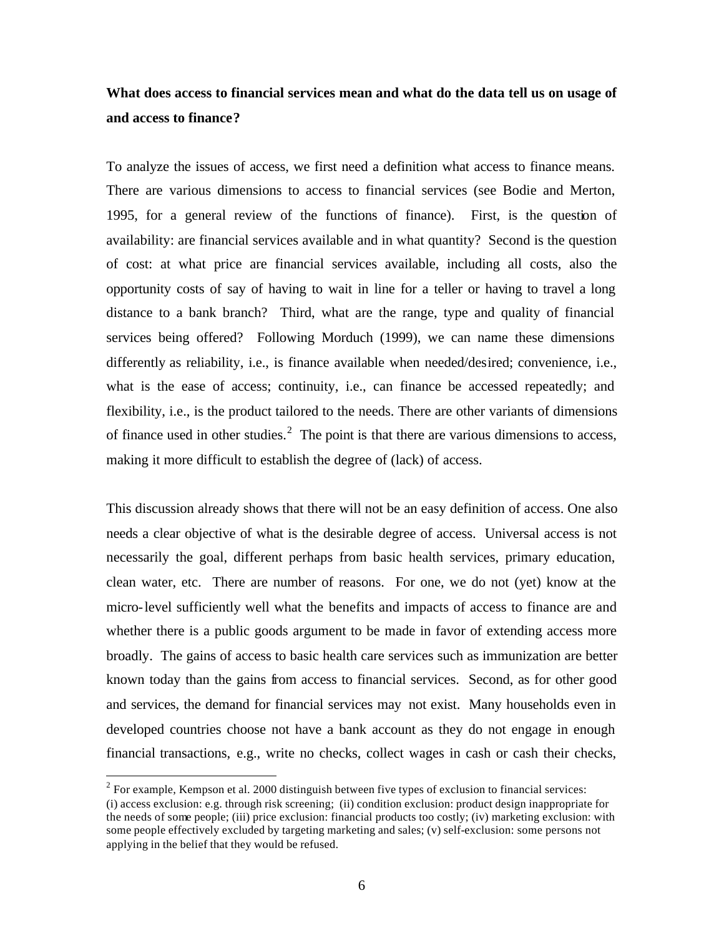## **What does access to financial services mean and what do the data tell us on usage of and access to finance?**

To analyze the issues of access, we first need a definition what access to finance means. There are various dimensions to access to financial services (see Bodie and Merton, 1995, for a general review of the functions of finance). First, is the question of availability: are financial services available and in what quantity? Second is the question of cost: at what price are financial services available, including all costs, also the opportunity costs of say of having to wait in line for a teller or having to travel a long distance to a bank branch? Third, what are the range, type and quality of financial services being offered? Following Morduch (1999), we can name these dimensions differently as reliability, i.e., is finance available when needed/desired; convenience, i.e., what is the ease of access; continuity, i.e., can finance be accessed repeatedly; and flexibility, i.e., is the product tailored to the needs. There are other variants of dimensions of finance used in other studies.<sup>2</sup> The point is that there are various dimensions to access, making it more difficult to establish the degree of (lack) of access.

This discussion already shows that there will not be an easy definition of access. One also needs a clear objective of what is the desirable degree of access. Universal access is not necessarily the goal, different perhaps from basic health services, primary education, clean water, etc. There are number of reasons. For one, we do not (yet) know at the micro-level sufficiently well what the benefits and impacts of access to finance are and whether there is a public goods argument to be made in favor of extending access more broadly. The gains of access to basic health care services such as immunization are better known today than the gains from access to financial services. Second, as for other good and services, the demand for financial services may not exist. Many households even in developed countries choose not have a bank account as they do not engage in enough financial transactions, e.g., write no checks, collect wages in cash or cash their checks,

 $\overline{a}$ 

 $2^{2}$  For example, Kempson et al. 2000 distinguish between five types of exclusion to financial services: (i) access exclusion: e.g. through risk screening; (ii) condition exclusion: product design inappropriate for the needs of some people; (iii) price exclusion: financial products too costly; (iv) marketing exclusion: with some people effectively excluded by targeting marketing and sales; (v) self-exclusion: some persons not applying in the belief that they would be refused.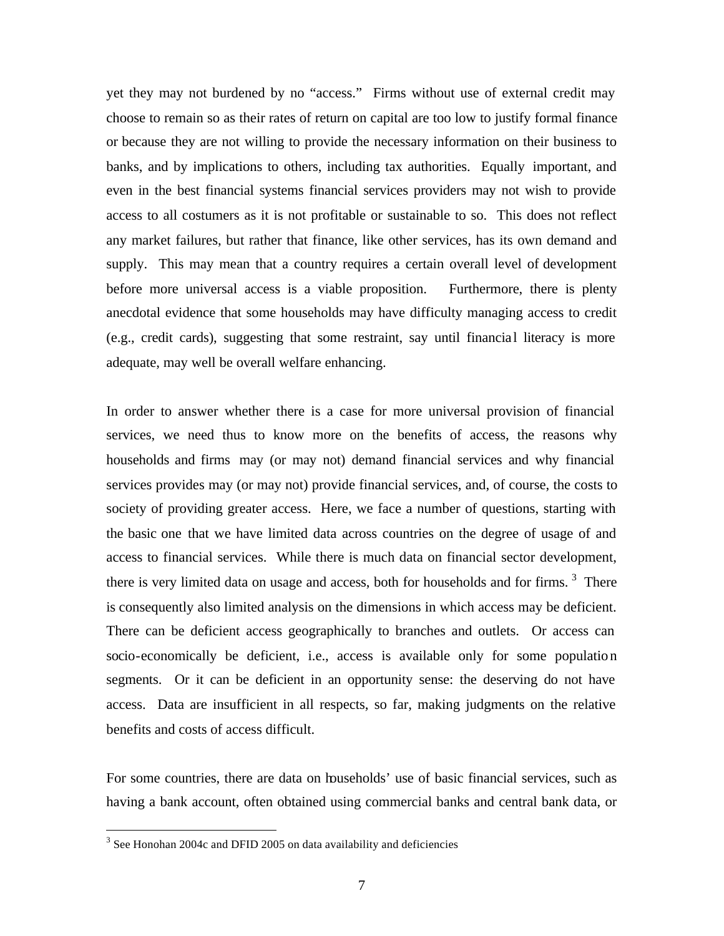yet they may not burdened by no "access." Firms without use of external credit may choose to remain so as their rates of return on capital are too low to justify formal finance or because they are not willing to provide the necessary information on their business to banks, and by implications to others, including tax authorities. Equally important, and even in the best financial systems financial services providers may not wish to provide access to all costumers as it is not profitable or sustainable to so. This does not reflect any market failures, but rather that finance, like other services, has its own demand and supply. This may mean that a country requires a certain overall level of development before more universal access is a viable proposition. Furthermore, there is plenty anecdotal evidence that some households may have difficulty managing access to credit (e.g., credit cards), suggesting that some restraint, say until financial literacy is more adequate, may well be overall welfare enhancing.

In order to answer whether there is a case for more universal provision of financial services, we need thus to know more on the benefits of access, the reasons why households and firms may (or may not) demand financial services and why financial services provides may (or may not) provide financial services, and, of course, the costs to society of providing greater access. Here, we face a number of questions, starting with the basic one that we have limited data across countries on the degree of usage of and access to financial services. While there is much data on financial sector development, there is very limited data on usage and access, both for households and for firms.<sup>3</sup> There is consequently also limited analysis on the dimensions in which access may be deficient. There can be deficient access geographically to branches and outlets. Or access can socio-economically be deficient, i.e., access is available only for some population segments. Or it can be deficient in an opportunity sense: the deserving do not have access. Data are insufficient in all respects, so far, making judgments on the relative benefits and costs of access difficult.

For some countries, there are data on households' use of basic financial services, such as having a bank account, often obtained using commercial banks and central bank data, or

 $\overline{a}$ 

 $3$  See Honohan 2004c and DFID 2005 on data availability and deficiencies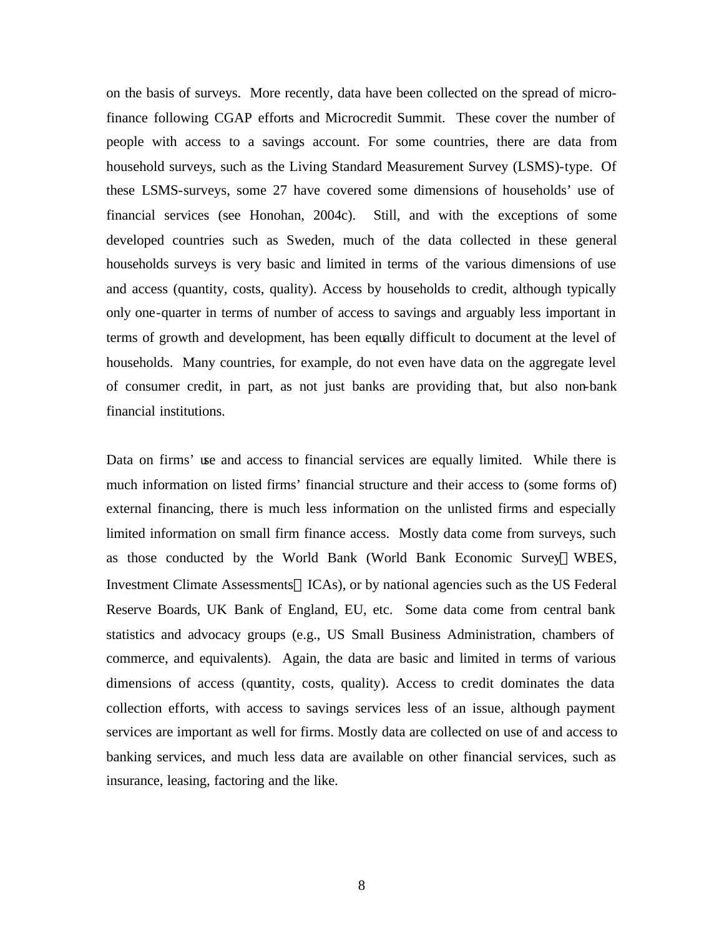on the basis of surveys. More recently, data have been collected on the spread of microfinance following CGAP efforts and Microcredit Summit. These cover the number of people with access to a savings account. For some countries, there are data from household surveys, such as the Living Standard Measurement Survey (LSMS)-type. Of these LSMS-surveys, some 27 have covered some dimensions of households' use of financial services (see Honohan, 2004c). Still, and with the exceptions of some developed countries such as Sweden, much of the data collected in these general households surveys is very basic and limited in terms of the various dimensions of use and access (quantity, costs, quality). Access by households to credit, although typically only one-quarter in terms of number of access to savings and arguably less important in terms of growth and development, has been equally difficult to document at the level of households. Many countries, for example, do not even have data on the aggregate level of consumer credit, in part, as not just banks are providing that, but also non-bank financial institutions.

Data on firms' use and access to financial services are equally limited. While there is much information on listed firms' financial structure and their access to (some forms of) external financing, there is much less information on the unlisted firms and especially limited information on small firm finance access. Mostly data come from surveys, such as those conducted by the World Bank (World Bank Economic Survey-WBES, Investment Climate Assessments—ICAs), or by national agencies such as the US Federal Reserve Boards, UK Bank of England, EU, etc. Some data come from central bank statistics and advocacy groups (e.g., US Small Business Administration, chambers of commerce, and equivalents). Again, the data are basic and limited in terms of various dimensions of access (quantity, costs, quality). Access to credit dominates the data collection efforts, with access to savings services less of an issue, although payment services are important as well for firms. Mostly data are collected on use of and access to banking services, and much less data are available on other financial services, such as insurance, leasing, factoring and the like.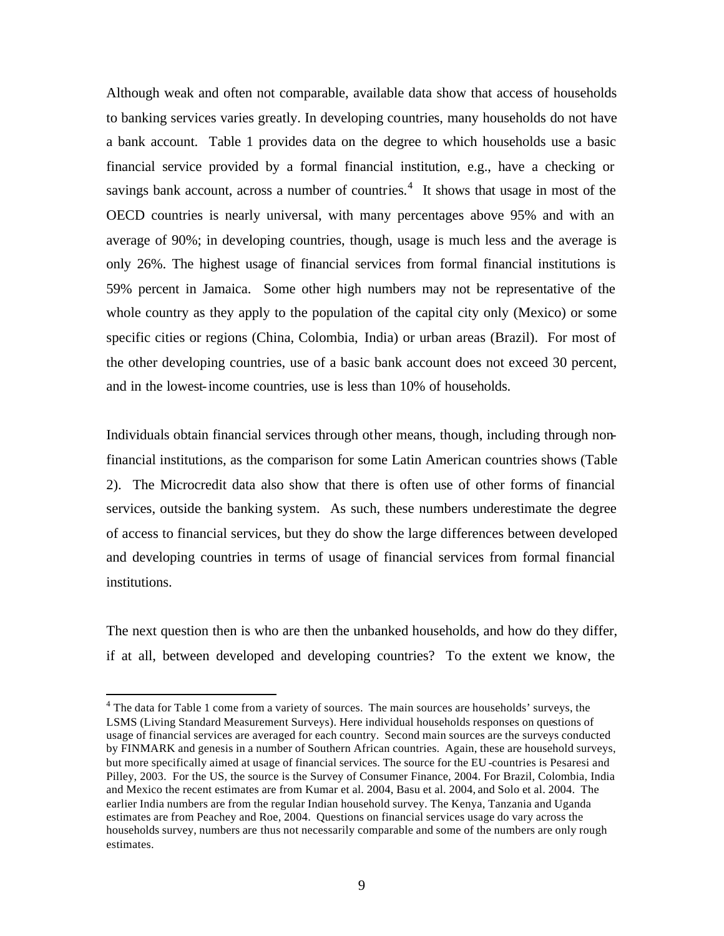Although weak and often not comparable, available data show that access of households to banking services varies greatly. In developing countries, many households do not have a bank account. Table 1 provides data on the degree to which households use a basic financial service provided by a formal financial institution, e.g., have a checking or savings bank account, across a number of countries.<sup>4</sup> It shows that usage in most of the OECD countries is nearly universal, with many percentages above 95% and with an average of 90%; in developing countries, though, usage is much less and the average is only 26%. The highest usage of financial services from formal financial institutions is 59% percent in Jamaica. Some other high numbers may not be representative of the whole country as they apply to the population of the capital city only (Mexico) or some specific cities or regions (China, Colombia, India) or urban areas (Brazil). For most of the other developing countries, use of a basic bank account does not exceed 30 percent, and in the lowest-income countries, use is less than 10% of households.

Individuals obtain financial services through other means, though, including through nonfinancial institutions, as the comparison for some Latin American countries shows (Table 2). The Microcredit data also show that there is often use of other forms of financial services, outside the banking system. As such, these numbers underestimate the degree of access to financial services, but they do show the large differences between developed and developing countries in terms of usage of financial services from formal financial institutions.

The next question then is who are then the unbanked households, and how do they differ, if at all, between developed and developing countries? To the extent we know, the

 $\overline{a}$ 

<sup>&</sup>lt;sup>4</sup> The data for Table 1 come from a variety of sources. The main sources are households' surveys, the LSMS (Living Standard Measurement Surveys). Here individual households responses on questions of usage of financial services are averaged for each country. Second main sources are the surveys conducted by FINMARK and genesis in a number of Southern African countries. Again, these are household surveys, but more specifically aimed at usage of financial services. The source for the EU -countries is Pesaresi and Pilley, 2003. For the US, the source is the Survey of Consumer Finance, 2004. For Brazil, Colombia, India and Mexico the recent estimates are from Kumar et al. 2004, Basu et al. 2004, and Solo et al. 2004. The earlier India numbers are from the regular Indian household survey. The Kenya, Tanzania and Uganda estimates are from Peachey and Roe, 2004. Questions on financial services usage do vary across the households survey, numbers are thus not necessarily comparable and some of the numbers are only rough estimates.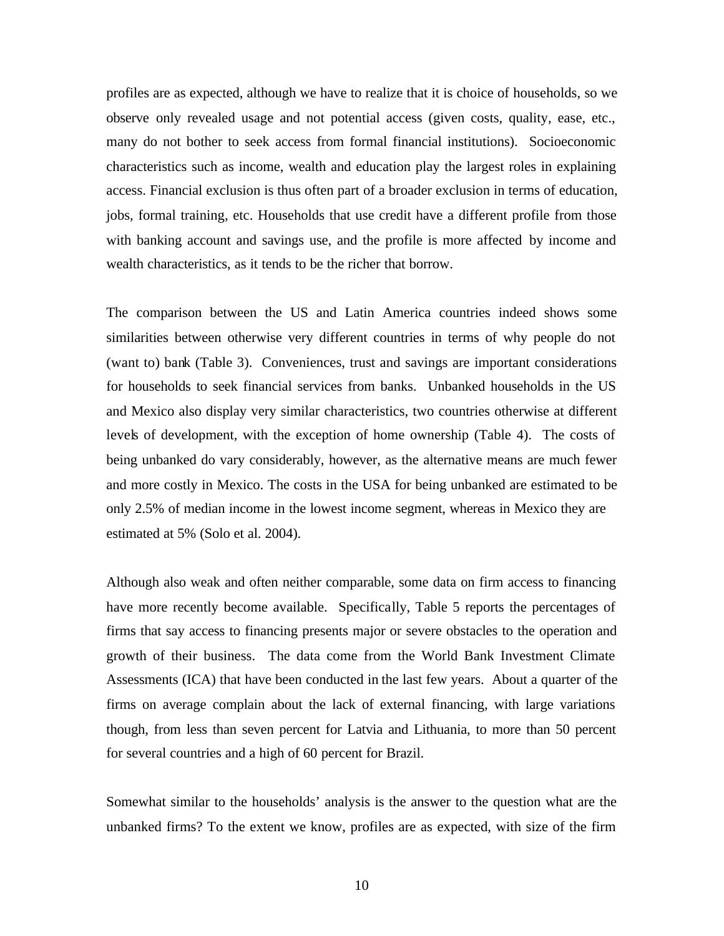profiles are as expected, although we have to realize that it is choice of households, so we observe only revealed usage and not potential access (given costs, quality, ease, etc., many do not bother to seek access from formal financial institutions). Socioeconomic characteristics such as income, wealth and education play the largest roles in explaining access. Financial exclusion is thus often part of a broader exclusion in terms of education, jobs, formal training, etc. Households that use credit have a different profile from those with banking account and savings use, and the profile is more affected by income and wealth characteristics, as it tends to be the richer that borrow.

The comparison between the US and Latin America countries indeed shows some similarities between otherwise very different countries in terms of why people do not (want to) bank (Table 3). Conveniences, trust and savings are important considerations for households to seek financial services from banks. Unbanked households in the US and Mexico also display very similar characteristics, two countries otherwise at different levels of development, with the exception of home ownership (Table 4). The costs of being unbanked do vary considerably, however, as the alternative means are much fewer and more costly in Mexico. The costs in the USA for being unbanked are estimated to be only 2.5% of median income in the lowest income segment, whereas in Mexico they are estimated at 5% (Solo et al. 2004).

Although also weak and often neither comparable, some data on firm access to financing have more recently become available. Specifically, Table 5 reports the percentages of firms that say access to financing presents major or severe obstacles to the operation and growth of their business. The data come from the World Bank Investment Climate Assessments (ICA) that have been conducted in the last few years. About a quarter of the firms on average complain about the lack of external financing, with large variations though, from less than seven percent for Latvia and Lithuania, to more than 50 percent for several countries and a high of 60 percent for Brazil.

Somewhat similar to the households' analysis is the answer to the question what are the unbanked firms? To the extent we know, profiles are as expected, with size of the firm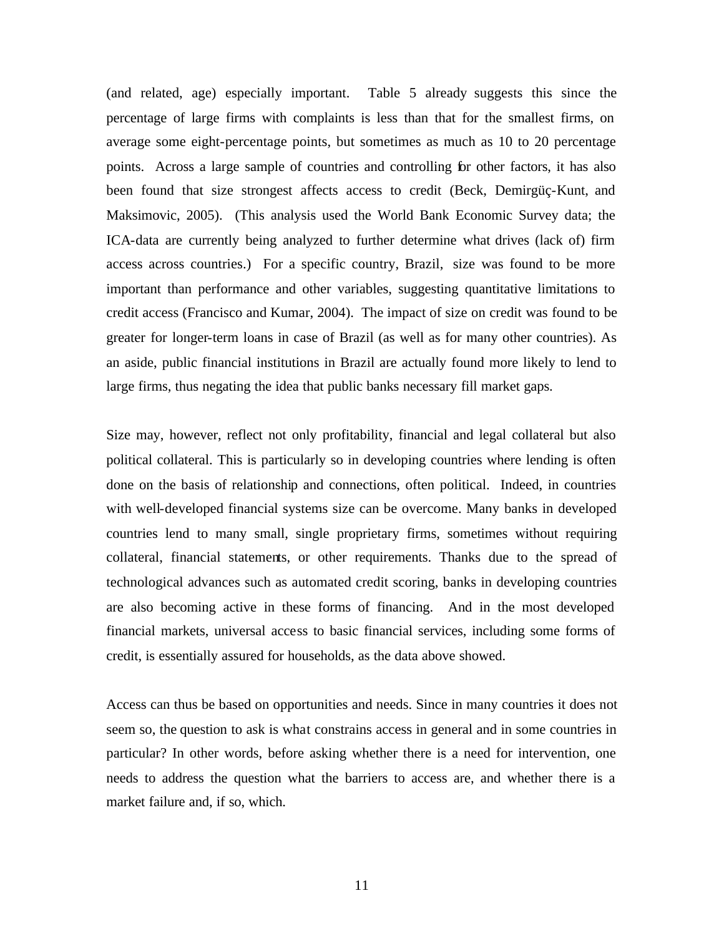(and related, age) especially important. Table 5 already suggests this since the percentage of large firms with complaints is less than that for the smallest firms, on average some eight-percentage points, but sometimes as much as 10 to 20 percentage points. Across a large sample of countries and controlling for other factors, it has also been found that size strongest affects access to credit (Beck, Demirgüç-Kunt, and Maksimovic, 2005). (This analysis used the World Bank Economic Survey data; the ICA-data are currently being analyzed to further determine what drives (lack of) firm access across countries.) For a specific country, Brazil, size was found to be more important than performance and other variables, suggesting quantitative limitations to credit access (Francisco and Kumar, 2004). The impact of size on credit was found to be greater for longer-term loans in case of Brazil (as well as for many other countries). As an aside, public financial institutions in Brazil are actually found more likely to lend to large firms, thus negating the idea that public banks necessary fill market gaps.

Size may, however, reflect not only profitability, financial and legal collateral but also political collateral. This is particularly so in developing countries where lending is often done on the basis of relationship and connections, often political. Indeed, in countries with well-developed financial systems size can be overcome. Many banks in developed countries lend to many small, single proprietary firms, sometimes without requiring collateral, financial statements, or other requirements. Thanks due to the spread of technological advances such as automated credit scoring, banks in developing countries are also becoming active in these forms of financing. And in the most developed financial markets, universal access to basic financial services, including some forms of credit, is essentially assured for households, as the data above showed.

Access can thus be based on opportunities and needs. Since in many countries it does not seem so, the question to ask is what constrains access in general and in some countries in particular? In other words, before asking whether there is a need for intervention, one needs to address the question what the barriers to access are, and whether there is a market failure and, if so, which.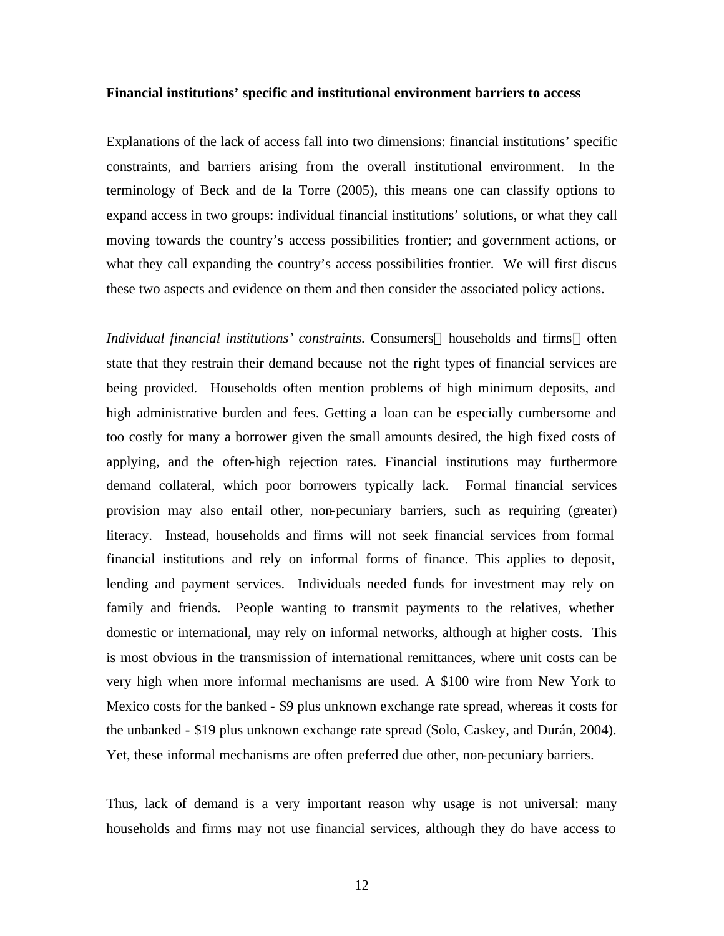#### **Financial institutions' specific and institutional environment barriers to access**

Explanations of the lack of access fall into two dimensions: financial institutions' specific constraints, and barriers arising from the overall institutional environment. In the terminology of Beck and de la Torre (2005), this means one can classify options to expand access in two groups: individual financial institutions' solutions, or what they call moving towards the country's access possibilities frontier; and government actions, or what they call expanding the country's access possibilities frontier. We will first discus these two aspects and evidence on them and then consider the associated policy actions.

*Individual financial institutions' constraints.* Consumers—households and firms—often state that they restrain their demand because not the right types of financial services are being provided. Households often mention problems of high minimum deposits, and high administrative burden and fees. Getting a loan can be especially cumbersome and too costly for many a borrower given the small amounts desired, the high fixed costs of applying, and the often-high rejection rates. Financial institutions may furthermore demand collateral, which poor borrowers typically lack. Formal financial services provision may also entail other, non-pecuniary barriers, such as requiring (greater) literacy. Instead, households and firms will not seek financial services from formal financial institutions and rely on informal forms of finance. This applies to deposit, lending and payment services. Individuals needed funds for investment may rely on family and friends. People wanting to transmit payments to the relatives, whether domestic or international, may rely on informal networks, although at higher costs. This is most obvious in the transmission of international remittances, where unit costs can be very high when more informal mechanisms are used. A \$100 wire from New York to Mexico costs for the banked - \$9 plus unknown exchange rate spread, whereas it costs for the unbanked - \$19 plus unknown exchange rate spread (Solo, Caskey, and Durán, 2004). Yet, these informal mechanisms are often preferred due other, non-pecuniary barriers.

Thus, lack of demand is a very important reason why usage is not universal: many households and firms may not use financial services, although they do have access to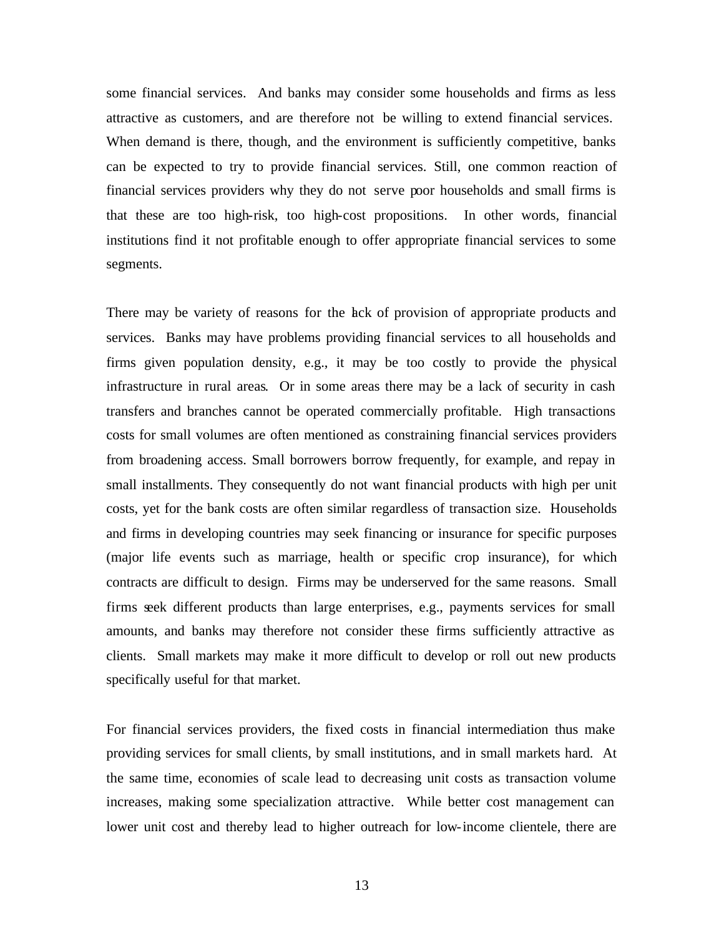some financial services. And banks may consider some households and firms as less attractive as customers, and are therefore not be willing to extend financial services. When demand is there, though, and the environment is sufficiently competitive, banks can be expected to try to provide financial services. Still, one common reaction of financial services providers why they do not serve poor households and small firms is that these are too high-risk, too high-cost propositions. In other words, financial institutions find it not profitable enough to offer appropriate financial services to some segments.

There may be variety of reasons for the lack of provision of appropriate products and services. Banks may have problems providing financial services to all households and firms given population density, e.g., it may be too costly to provide the physical infrastructure in rural areas. Or in some areas there may be a lack of security in cash transfers and branches cannot be operated commercially profitable. High transactions costs for small volumes are often mentioned as constraining financial services providers from broadening access. Small borrowers borrow frequently, for example, and repay in small installments. They consequently do not want financial products with high per unit costs, yet for the bank costs are often similar regardless of transaction size. Households and firms in developing countries may seek financing or insurance for specific purposes (major life events such as marriage, health or specific crop insurance), for which contracts are difficult to design. Firms may be underserved for the same reasons. Small firms seek different products than large enterprises, e.g., payments services for small amounts, and banks may therefore not consider these firms sufficiently attractive as clients. Small markets may make it more difficult to develop or roll out new products specifically useful for that market.

For financial services providers, the fixed costs in financial intermediation thus make providing services for small clients, by small institutions, and in small markets hard. At the same time, economies of scale lead to decreasing unit costs as transaction volume increases, making some specialization attractive. While better cost management can lower unit cost and thereby lead to higher outreach for low-income clientele, there are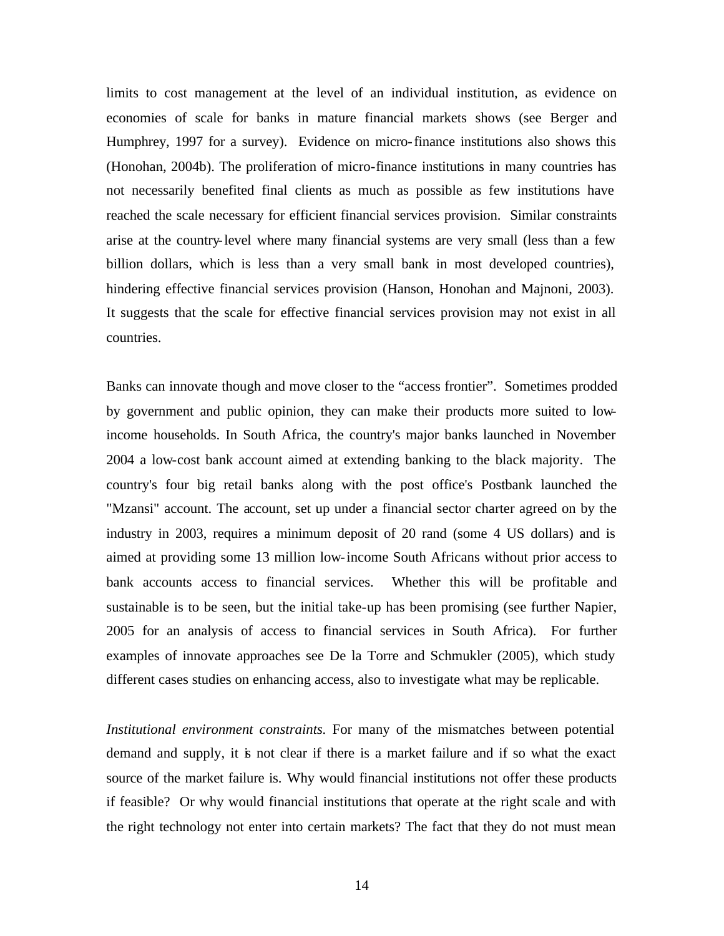limits to cost management at the level of an individual institution, as evidence on economies of scale for banks in mature financial markets shows (see Berger and Humphrey, 1997 for a survey). Evidence on micro-finance institutions also shows this (Honohan, 2004b). The proliferation of micro-finance institutions in many countries has not necessarily benefited final clients as much as possible as few institutions have reached the scale necessary for efficient financial services provision. Similar constraints arise at the country-level where many financial systems are very small (less than a few billion dollars, which is less than a very small bank in most developed countries), hindering effective financial services provision (Hanson, Honohan and Majnoni, 2003). It suggests that the scale for effective financial services provision may not exist in all countries.

Banks can innovate though and move closer to the "access frontier". Sometimes prodded by government and public opinion, they can make their products more suited to lowincome households. In South Africa, the country's major banks launched in November 2004 a low-cost bank account aimed at extending banking to the black majority. The country's four big retail banks along with the post office's Postbank launched the "Mzansi" account. The account, set up under a financial sector charter agreed on by the industry in 2003, requires a minimum deposit of 20 rand (some 4 US dollars) and is aimed at providing some 13 million low-income South Africans without prior access to bank accounts access to financial services. Whether this will be profitable and sustainable is to be seen, but the initial take-up has been promising (see further Napier, 2005 for an analysis of access to financial services in South Africa). For further examples of innovate approaches see De la Torre and Schmukler (2005), which study different cases studies on enhancing access, also to investigate what may be replicable.

*Institutional environment constraints.* For many of the mismatches between potential demand and supply, it is not clear if there is a market failure and if so what the exact source of the market failure is. Why would financial institutions not offer these products if feasible? Or why would financial institutions that operate at the right scale and with the right technology not enter into certain markets? The fact that they do not must mean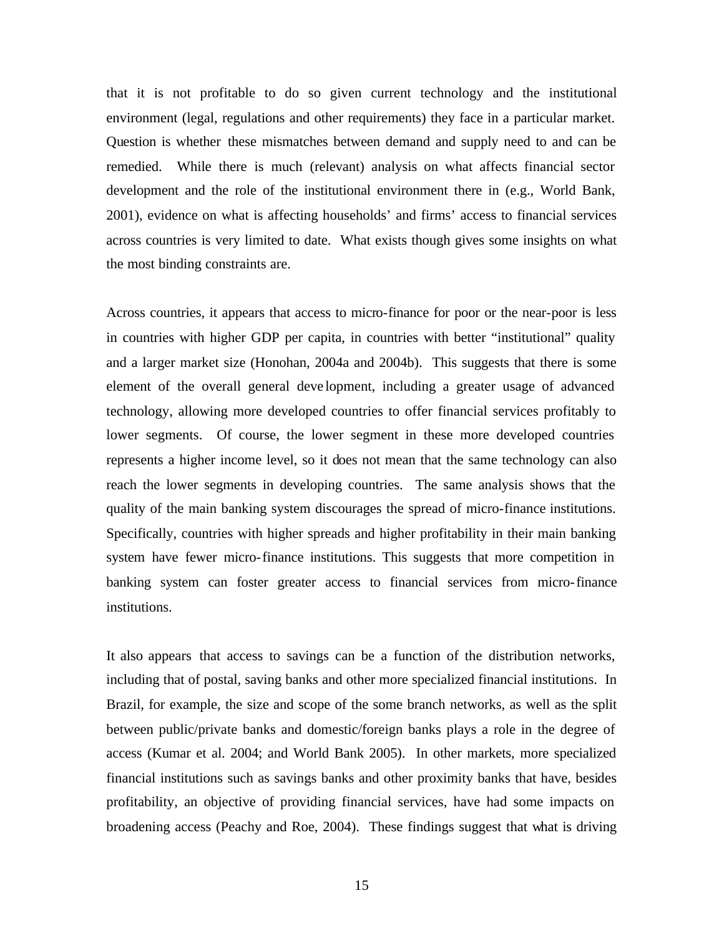that it is not profitable to do so given current technology and the institutional environment (legal, regulations and other requirements) they face in a particular market. Question is whether these mismatches between demand and supply need to and can be remedied. While there is much (relevant) analysis on what affects financial sector development and the role of the institutional environment there in (e.g., World Bank, 2001), evidence on what is affecting households' and firms' access to financial services across countries is very limited to date. What exists though gives some insights on what the most binding constraints are.

Across countries, it appears that access to micro-finance for poor or the near-poor is less in countries with higher GDP per capita, in countries with better "institutional" quality and a larger market size (Honohan, 2004a and 2004b). This suggests that there is some element of the overall general deve lopment, including a greater usage of advanced technology, allowing more developed countries to offer financial services profitably to lower segments. Of course, the lower segment in these more developed countries represents a higher income level, so it does not mean that the same technology can also reach the lower segments in developing countries. The same analysis shows that the quality of the main banking system discourages the spread of micro-finance institutions. Specifically, countries with higher spreads and higher profitability in their main banking system have fewer micro-finance institutions. This suggests that more competition in banking system can foster greater access to financial services from micro-finance institutions.

It also appears that access to savings can be a function of the distribution networks, including that of postal, saving banks and other more specialized financial institutions. In Brazil, for example, the size and scope of the some branch networks, as well as the split between public/private banks and domestic/foreign banks plays a role in the degree of access (Kumar et al. 2004; and World Bank 2005). In other markets, more specialized financial institutions such as savings banks and other proximity banks that have, besides profitability, an objective of providing financial services, have had some impacts on broadening access (Peachy and Roe, 2004). These findings suggest that what is driving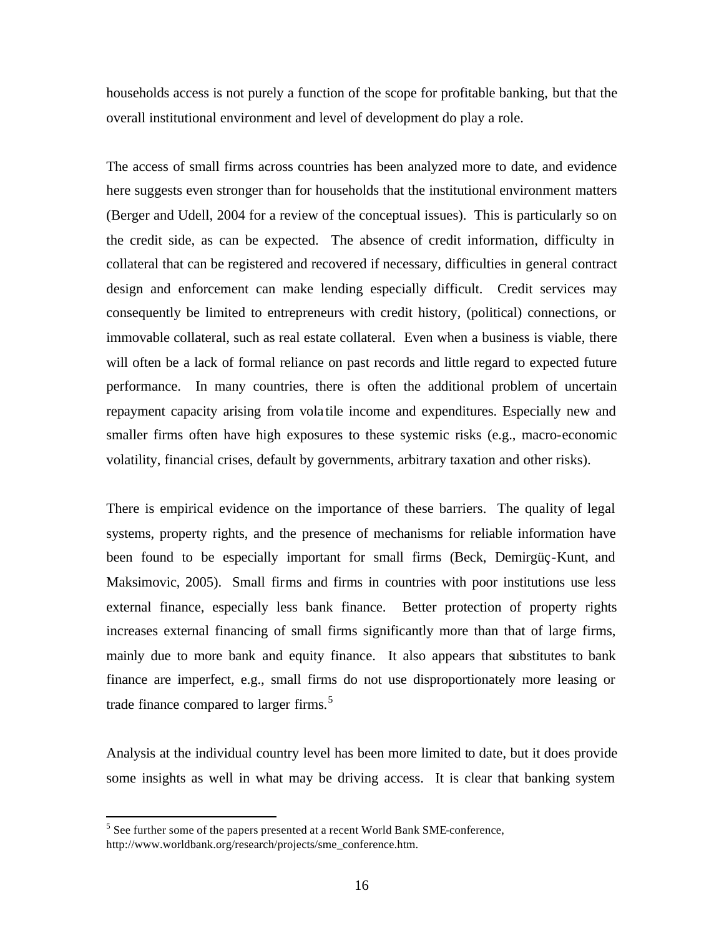households access is not purely a function of the scope for profitable banking, but that the overall institutional environment and level of development do play a role.

The access of small firms across countries has been analyzed more to date, and evidence here suggests even stronger than for households that the institutional environment matters (Berger and Udell, 2004 for a review of the conceptual issues). This is particularly so on the credit side, as can be expected. The absence of credit information, difficulty in collateral that can be registered and recovered if necessary, difficulties in general contract design and enforcement can make lending especially difficult. Credit services may consequently be limited to entrepreneurs with credit history, (political) connections, or immovable collateral, such as real estate collateral. Even when a business is viable, there will often be a lack of formal reliance on past records and little regard to expected future performance. In many countries, there is often the additional problem of uncertain repayment capacity arising from vola tile income and expenditures. Especially new and smaller firms often have high exposures to these systemic risks (e.g., macro-economic volatility, financial crises, default by governments, arbitrary taxation and other risks).

There is empirical evidence on the importance of these barriers. The quality of legal systems, property rights, and the presence of mechanisms for reliable information have been found to be especially important for small firms (Beck, Demirgüç-Kunt, and Maksimovic, 2005). Small firms and firms in countries with poor institutions use less external finance, especially less bank finance. Better protection of property rights increases external financing of small firms significantly more than that of large firms, mainly due to more bank and equity finance. It also appears that substitutes to bank finance are imperfect, e.g., small firms do not use disproportionately more leasing or trade finance compared to larger firms.<sup>5</sup>

Analysis at the individual country level has been more limited to date, but it does provide some insights as well in what may be driving access. It is clear that banking system

 $\overline{a}$ 

 $<sup>5</sup>$  See further some of the papers presented at a recent World Bank SME-conference,</sup> http://www.worldbank.org/research/projects/sme\_conference.htm.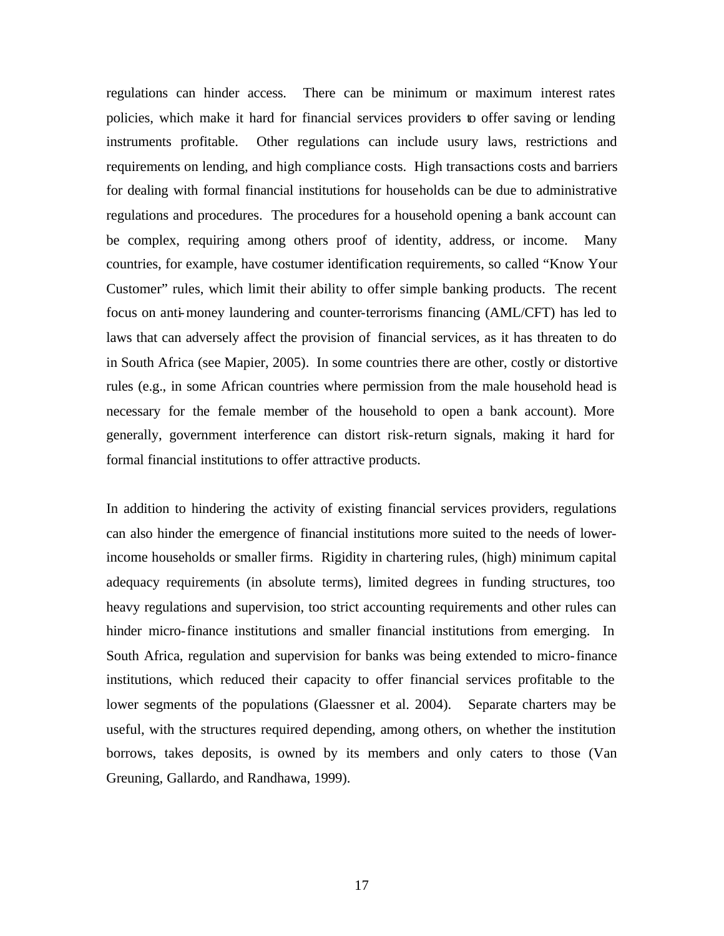regulations can hinder access. There can be minimum or maximum interest rates policies, which make it hard for financial services providers to offer saving or lending instruments profitable. Other regulations can include usury laws, restrictions and requirements on lending, and high compliance costs. High transactions costs and barriers for dealing with formal financial institutions for households can be due to administrative regulations and procedures. The procedures for a household opening a bank account can be complex, requiring among others proof of identity, address, or income. Many countries, for example, have costumer identification requirements, so called "Know Your Customer" rules, which limit their ability to offer simple banking products. The recent focus on anti-money laundering and counter-terrorisms financing (AML/CFT) has led to laws that can adversely affect the provision of financial services, as it has threaten to do in South Africa (see Mapier, 2005). In some countries there are other, costly or distortive rules (e.g., in some African countries where permission from the male household head is necessary for the female member of the household to open a bank account). More generally, government interference can distort risk-return signals, making it hard for formal financial institutions to offer attractive products.

In addition to hindering the activity of existing financial services providers, regulations can also hinder the emergence of financial institutions more suited to the needs of lowerincome households or smaller firms. Rigidity in chartering rules, (high) minimum capital adequacy requirements (in absolute terms), limited degrees in funding structures, too heavy regulations and supervision, too strict accounting requirements and other rules can hinder micro-finance institutions and smaller financial institutions from emerging. In South Africa, regulation and supervision for banks was being extended to micro-finance institutions, which reduced their capacity to offer financial services profitable to the lower segments of the populations (Glaessner et al. 2004). Separate charters may be useful, with the structures required depending, among others, on whether the institution borrows, takes deposits, is owned by its members and only caters to those (Van Greuning, Gallardo, and Randhawa, 1999).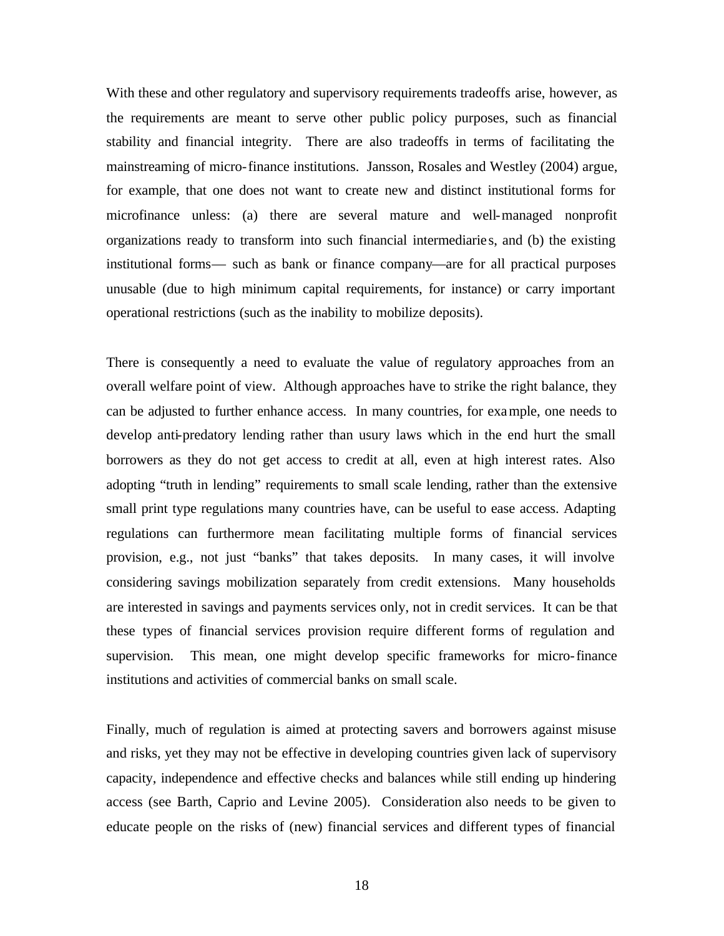With these and other regulatory and supervisory requirements tradeoffs arise, however, as the requirements are meant to serve other public policy purposes, such as financial stability and financial integrity. There are also tradeoffs in terms of facilitating the mainstreaming of micro-finance institutions. Jansson, Rosales and Westley (2004) argue, for example, that one does not want to create new and distinct institutional forms for microfinance unless: (a) there are several mature and well-managed nonprofit organizations ready to transform into such financial intermediarie s, and (b) the existing institutional forms— such as bank or finance company—are for all practical purposes unusable (due to high minimum capital requirements, for instance) or carry important operational restrictions (such as the inability to mobilize deposits).

There is consequently a need to evaluate the value of regulatory approaches from an overall welfare point of view. Although approaches have to strike the right balance, they can be adjusted to further enhance access. In many countries, for example, one needs to develop anti-predatory lending rather than usury laws which in the end hurt the small borrowers as they do not get access to credit at all, even at high interest rates. Also adopting "truth in lending" requirements to small scale lending, rather than the extensive small print type regulations many countries have, can be useful to ease access. Adapting regulations can furthermore mean facilitating multiple forms of financial services provision, e.g., not just "banks" that takes deposits. In many cases, it will involve considering savings mobilization separately from credit extensions. Many households are interested in savings and payments services only, not in credit services. It can be that these types of financial services provision require different forms of regulation and supervision. This mean, one might develop specific frameworks for micro-finance institutions and activities of commercial banks on small scale.

Finally, much of regulation is aimed at protecting savers and borrowers against misuse and risks, yet they may not be effective in developing countries given lack of supervisory capacity, independence and effective checks and balances while still ending up hindering access (see Barth, Caprio and Levine 2005). Consideration also needs to be given to educate people on the risks of (new) financial services and different types of financial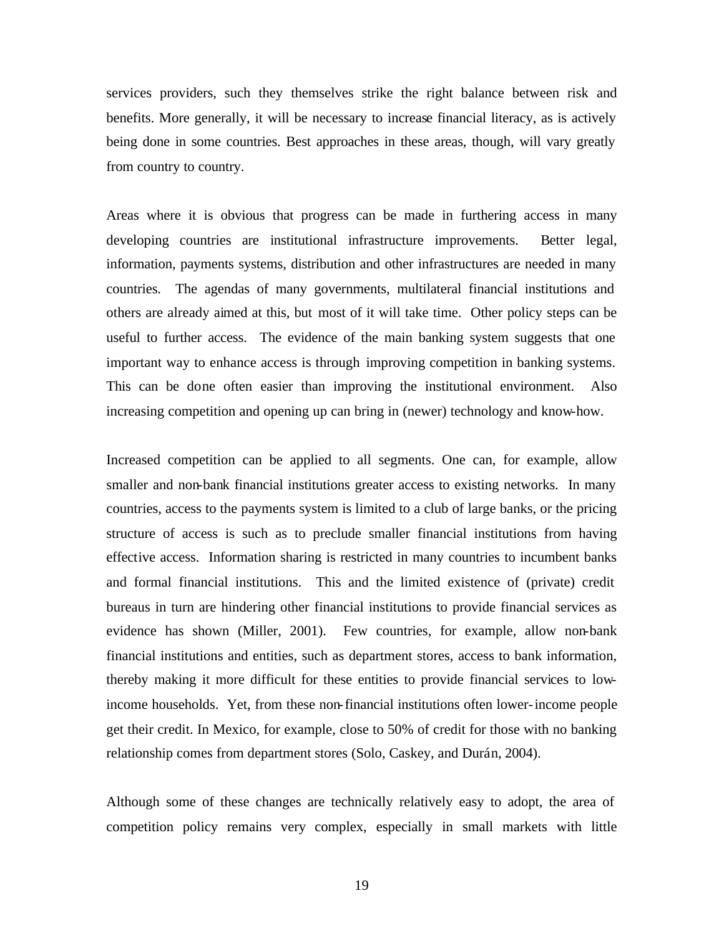services providers, such they themselves strike the right balance between risk and benefits. More generally, it will be necessary to increase financial literacy, as is actively being done in some countries. Best approaches in these areas, though, will vary greatly from country to country.

Areas where it is obvious that progress can be made in furthering access in many developing countries are institutional infrastructure improvements. Better legal, information, payments systems, distribution and other infrastructures are needed in many countries. The agendas of many governments, multilateral financial institutions and others are already aimed at this, but most of it will take time. Other policy steps can be useful to further access. The evidence of the main banking system suggests that one important way to enhance access is through improving competition in banking systems. This can be done often easier than improving the institutional environment. Also increasing competition and opening up can bring in (newer) technology and know-how.

Increased competition can be applied to all segments. One can, for example, allow smaller and non-bank financial institutions greater access to existing networks. In many countries, access to the payments system is limited to a club of large banks, or the pricing structure of access is such as to preclude smaller financial institutions from having effective access. Information sharing is restricted in many countries to incumbent banks and formal financial institutions. This and the limited existence of (private) credit bureaus in turn are hindering other financial institutions to provide financial services as evidence has shown (Miller, 2001). Few countries, for example, allow non-bank financial institutions and entities, such as department stores, access to bank information, thereby making it more difficult for these entities to provide financial services to lowincome households. Yet, from these non-financial institutions often lower-income people get their credit. In Mexico, for example, close to 50% of credit for those with no banking relationship comes from department stores (Solo, Caskey, and Durán, 2004).

Although some of these changes are technically relatively easy to adopt, the area of competition policy remains very complex, especially in small markets with little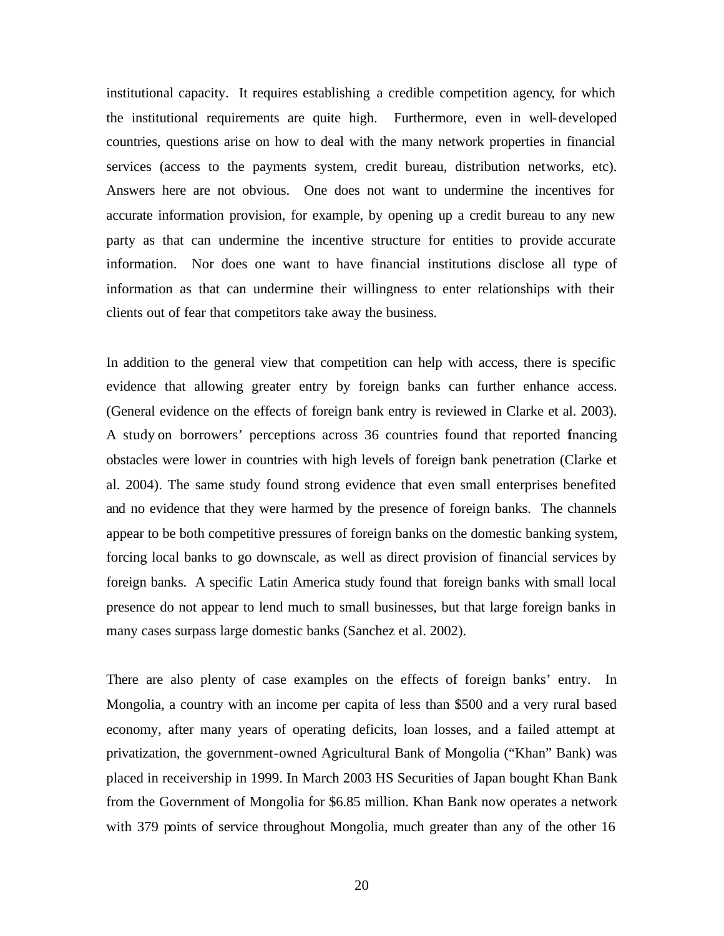institutional capacity. It requires establishing a credible competition agency, for which the institutional requirements are quite high. Furthermore, even in well-developed countries, questions arise on how to deal with the many network properties in financial services (access to the payments system, credit bureau, distribution networks, etc). Answers here are not obvious. One does not want to undermine the incentives for accurate information provision, for example, by opening up a credit bureau to any new party as that can undermine the incentive structure for entities to provide accurate information. Nor does one want to have financial institutions disclose all type of information as that can undermine their willingness to enter relationships with their clients out of fear that competitors take away the business.

In addition to the general view that competition can help with access, there is specific evidence that allowing greater entry by foreign banks can further enhance access. (General evidence on the effects of foreign bank entry is reviewed in Clarke et al. 2003). A study on borrowers' perceptions across 36 countries found that reported financing obstacles were lower in countries with high levels of foreign bank penetration (Clarke et al. 2004). The same study found strong evidence that even small enterprises benefited and no evidence that they were harmed by the presence of foreign banks. The channels appear to be both competitive pressures of foreign banks on the domestic banking system, forcing local banks to go downscale, as well as direct provision of financial services by foreign banks. A specific Latin America study found that foreign banks with small local presence do not appear to lend much to small businesses, but that large foreign banks in many cases surpass large domestic banks (Sanchez et al. 2002).

There are also plenty of case examples on the effects of foreign banks' entry. In Mongolia, a country with an income per capita of less than \$500 and a very rural based economy, after many years of operating deficits, loan losses, and a failed attempt at privatization, the government-owned Agricultural Bank of Mongolia ("Khan" Bank) was placed in receivership in 1999. In March 2003 HS Securities of Japan bought Khan Bank from the Government of Mongolia for \$6.85 million. Khan Bank now operates a network with 379 points of service throughout Mongolia, much greater than any of the other 16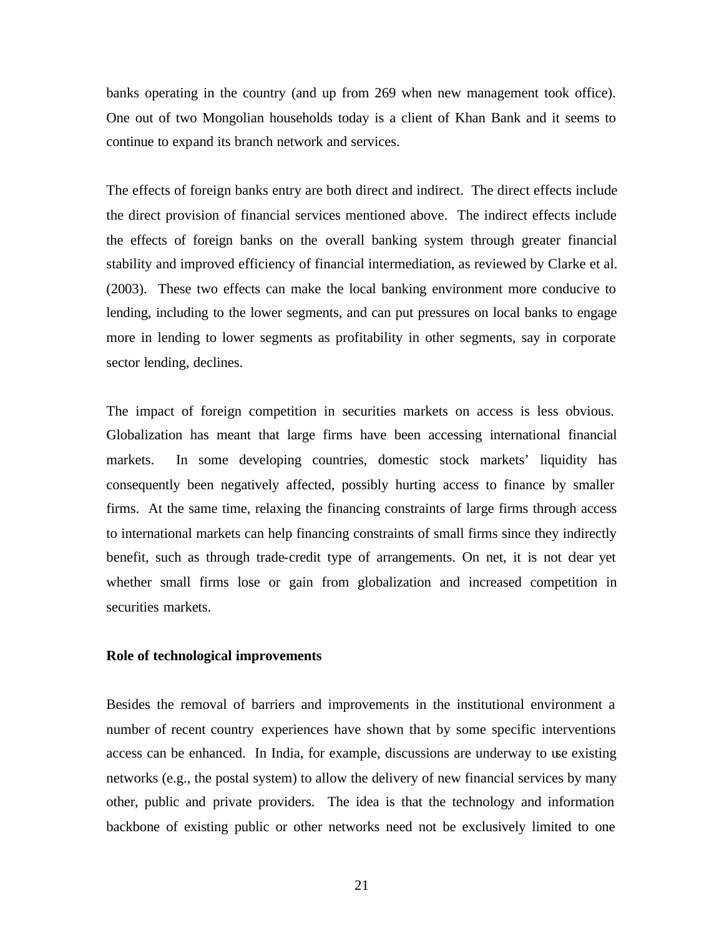banks operating in the country (and up from 269 when new management took office). One out of two Mongolian households today is a client of Khan Bank and it seems to continue to expand its branch network and services.

The effects of foreign banks entry are both direct and indirect. The direct effects include the direct provision of financial services mentioned above. The indirect effects include the effects of foreign banks on the overall banking system through greater financial stability and improved efficiency of financial intermediation, as reviewed by Clarke et al. (2003). These two effects can make the local banking environment more conducive to lending, including to the lower segments, and can put pressures on local banks to engage more in lending to lower segments as profitability in other segments, say in corporate sector lending, declines.

The impact of foreign competition in securities markets on access is less obvious. Globalization has meant that large firms have been accessing international financial markets. In some developing countries, domestic stock markets' liquidity has consequently been negatively affected, possibly hurting access to finance by smaller firms. At the same time, relaxing the financing constraints of large firms through access to international markets can help financing constraints of small firms since they indirectly benefit, such as through trade-credit type of arrangements. On net, it is not clear yet whether small firms lose or gain from globalization and increased competition in securities markets.

#### **Role of technological improvements**

Besides the removal of barriers and improvements in the institutional environment a number of recent country experiences have shown that by some specific interventions access can be enhanced. In India, for example, discussions are underway to use existing networks (e.g., the postal system) to allow the delivery of new financial services by many other, public and private providers. The idea is that the technology and information backbone of existing public or other networks need not be exclusively limited to one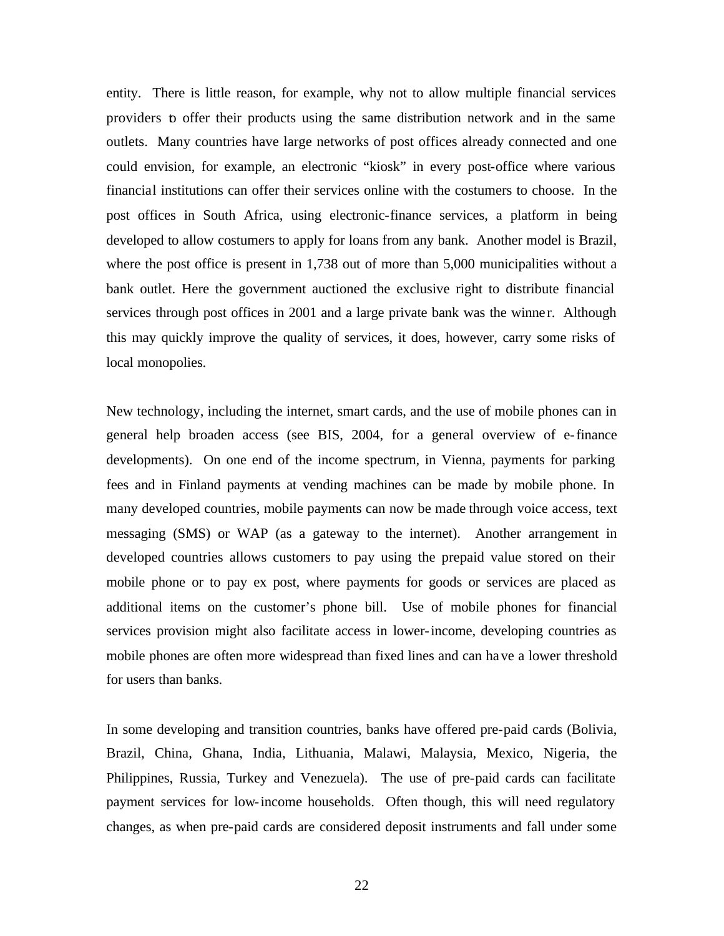entity. There is little reason, for example, why not to allow multiple financial services providers to offer their products using the same distribution network and in the same outlets. Many countries have large networks of post offices already connected and one could envision, for example, an electronic "kiosk" in every post-office where various financial institutions can offer their services online with the costumers to choose. In the post offices in South Africa, using electronic-finance services, a platform in being developed to allow costumers to apply for loans from any bank. Another model is Brazil, where the post office is present in 1,738 out of more than 5,000 municipalities without a bank outlet. Here the government auctioned the exclusive right to distribute financial services through post offices in 2001 and a large private bank was the winner. Although this may quickly improve the quality of services, it does, however, carry some risks of local monopolies.

New technology, including the internet, smart cards, and the use of mobile phones can in general help broaden access (see BIS, 2004, for a general overview of e-finance developments). On one end of the income spectrum, in Vienna, payments for parking fees and in Finland payments at vending machines can be made by mobile phone. In many developed countries, mobile payments can now be made through voice access, text messaging (SMS) or WAP (as a gateway to the internet). Another arrangement in developed countries allows customers to pay using the prepaid value stored on their mobile phone or to pay ex post, where payments for goods or services are placed as additional items on the customer's phone bill. Use of mobile phones for financial services provision might also facilitate access in lower-income, developing countries as mobile phones are often more widespread than fixed lines and can have a lower threshold for users than banks.

In some developing and transition countries, banks have offered pre-paid cards (Bolivia, Brazil, China, Ghana, India, Lithuania, Malawi, Malaysia, Mexico, Nigeria, the Philippines, Russia, Turkey and Venezuela). The use of pre-paid cards can facilitate payment services for low-income households. Often though, this will need regulatory changes, as when pre-paid cards are considered deposit instruments and fall under some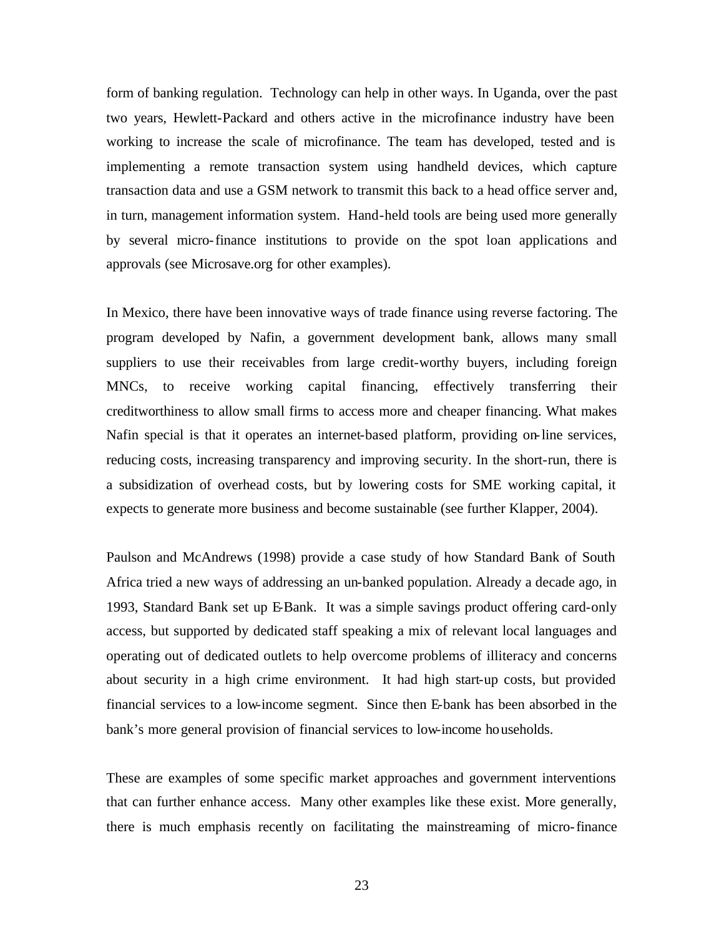form of banking regulation. Technology can help in other ways. In Uganda, over the past two years, Hewlett-Packard and others active in the microfinance industry have been working to increase the scale of microfinance. The team has developed, tested and is implementing a remote transaction system using handheld devices, which capture transaction data and use a GSM network to transmit this back to a head office server and, in turn, management information system. Hand-held tools are being used more generally by several micro-finance institutions to provide on the spot loan applications and approvals (see Microsave.org for other examples).

In Mexico, there have been innovative ways of trade finance using reverse factoring. The program developed by Nafin, a government development bank, allows many small suppliers to use their receivables from large credit-worthy buyers, including foreign MNCs, to receive working capital financing, effectively transferring their creditworthiness to allow small firms to access more and cheaper financing. What makes Nafin special is that it operates an internet-based platform, providing on-line services, reducing costs, increasing transparency and improving security. In the short-run, there is a subsidization of overhead costs, but by lowering costs for SME working capital, it expects to generate more business and become sustainable (see further Klapper, 2004).

Paulson and McAndrews (1998) provide a case study of how Standard Bank of South Africa tried a new ways of addressing an un-banked population. Already a decade ago, in 1993, Standard Bank set up E-Bank. It was a simple savings product offering card-only access, but supported by dedicated staff speaking a mix of relevant local languages and operating out of dedicated outlets to help overcome problems of illiteracy and concerns about security in a high crime environment. It had high start-up costs, but provided financial services to a low-income segment. Since then E-bank has been absorbed in the bank's more general provision of financial services to low-income households.

These are examples of some specific market approaches and government interventions that can further enhance access. Many other examples like these exist. More generally, there is much emphasis recently on facilitating the mainstreaming of micro-finance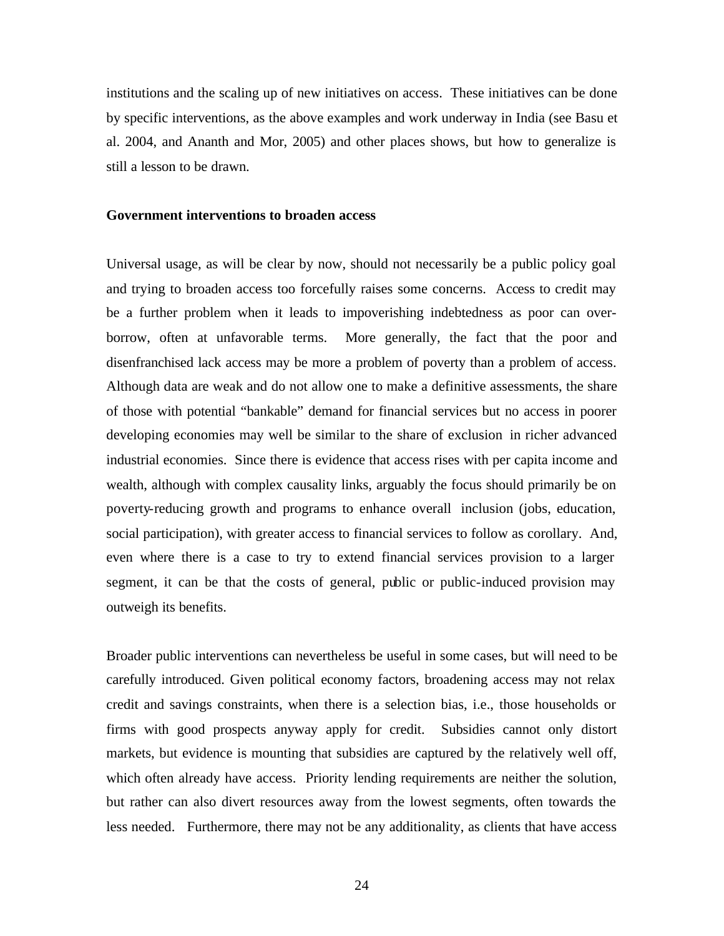institutions and the scaling up of new initiatives on access. These initiatives can be done by specific interventions, as the above examples and work underway in India (see Basu et al. 2004, and Ananth and Mor, 2005) and other places shows, but how to generalize is still a lesson to be drawn.

#### **Government interventions to broaden access**

Universal usage, as will be clear by now, should not necessarily be a public policy goal and trying to broaden access too forcefully raises some concerns. Access to credit may be a further problem when it leads to impoverishing indebtedness as poor can overborrow, often at unfavorable terms. More generally, the fact that the poor and disenfranchised lack access may be more a problem of poverty than a problem of access. Although data are weak and do not allow one to make a definitive assessments, the share of those with potential "bankable" demand for financial services but no access in poorer developing economies may well be similar to the share of exclusion in richer advanced industrial economies. Since there is evidence that access rises with per capita income and wealth, although with complex causality links, arguably the focus should primarily be on poverty-reducing growth and programs to enhance overall inclusion (jobs, education, social participation), with greater access to financial services to follow as corollary. And, even where there is a case to try to extend financial services provision to a larger segment, it can be that the costs of general, public or public-induced provision may outweigh its benefits.

Broader public interventions can nevertheless be useful in some cases, but will need to be carefully introduced. Given political economy factors, broadening access may not relax credit and savings constraints, when there is a selection bias, i.e., those households or firms with good prospects anyway apply for credit. Subsidies cannot only distort markets, but evidence is mounting that subsidies are captured by the relatively well off, which often already have access. Priority lending requirements are neither the solution, but rather can also divert resources away from the lowest segments, often towards the less needed. Furthermore, there may not be any additionality, as clients that have access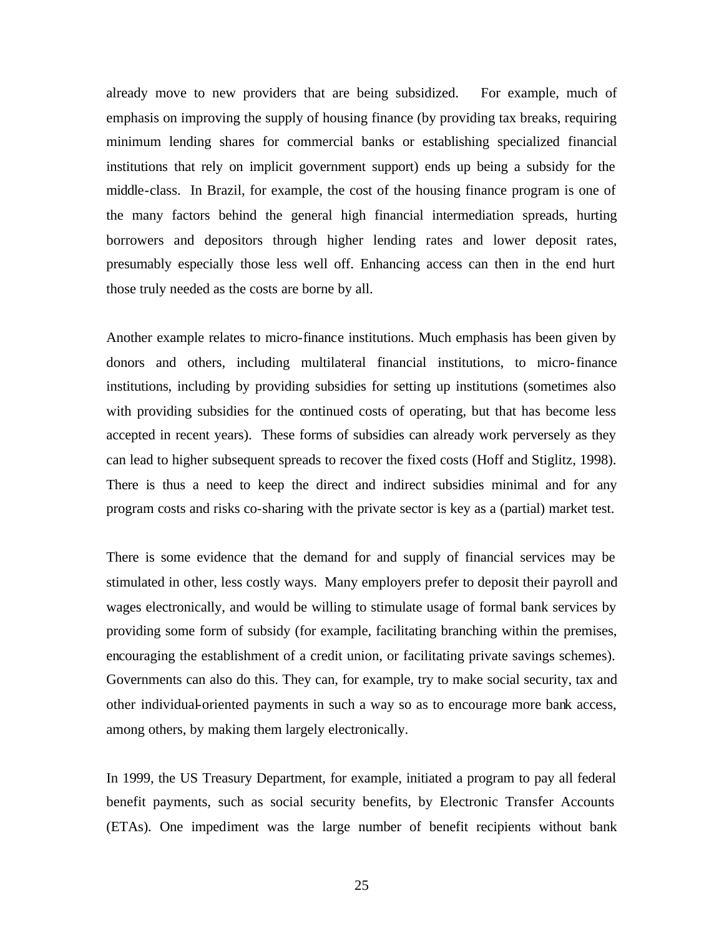already move to new providers that are being subsidized. For example, much of emphasis on improving the supply of housing finance (by providing tax breaks, requiring minimum lending shares for commercial banks or establishing specialized financial institutions that rely on implicit government support) ends up being a subsidy for the middle-class. In Brazil, for example, the cost of the housing finance program is one of the many factors behind the general high financial intermediation spreads, hurting borrowers and depositors through higher lending rates and lower deposit rates, presumably especially those less well off. Enhancing access can then in the end hurt those truly needed as the costs are borne by all.

Another example relates to micro-finance institutions. Much emphasis has been given by donors and others, including multilateral financial institutions, to micro-finance institutions, including by providing subsidies for setting up institutions (sometimes also with providing subsidies for the continued costs of operating, but that has become less accepted in recent years). These forms of subsidies can already work perversely as they can lead to higher subsequent spreads to recover the fixed costs (Hoff and Stiglitz, 1998). There is thus a need to keep the direct and indirect subsidies minimal and for any program costs and risks co-sharing with the private sector is key as a (partial) market test.

There is some evidence that the demand for and supply of financial services may be stimulated in other, less costly ways. Many employers prefer to deposit their payroll and wages electronically, and would be willing to stimulate usage of formal bank services by providing some form of subsidy (for example, facilitating branching within the premises, encouraging the establishment of a credit union, or facilitating private savings schemes). Governments can also do this. They can, for example, try to make social security, tax and other individual-oriented payments in such a way so as to encourage more bank access, among others, by making them largely electronically.

In 1999, the US Treasury Department, for example, initiated a program to pay all federal benefit payments, such as social security benefits, by Electronic Transfer Accounts (ETAs). One impediment was the large number of benefit recipients without bank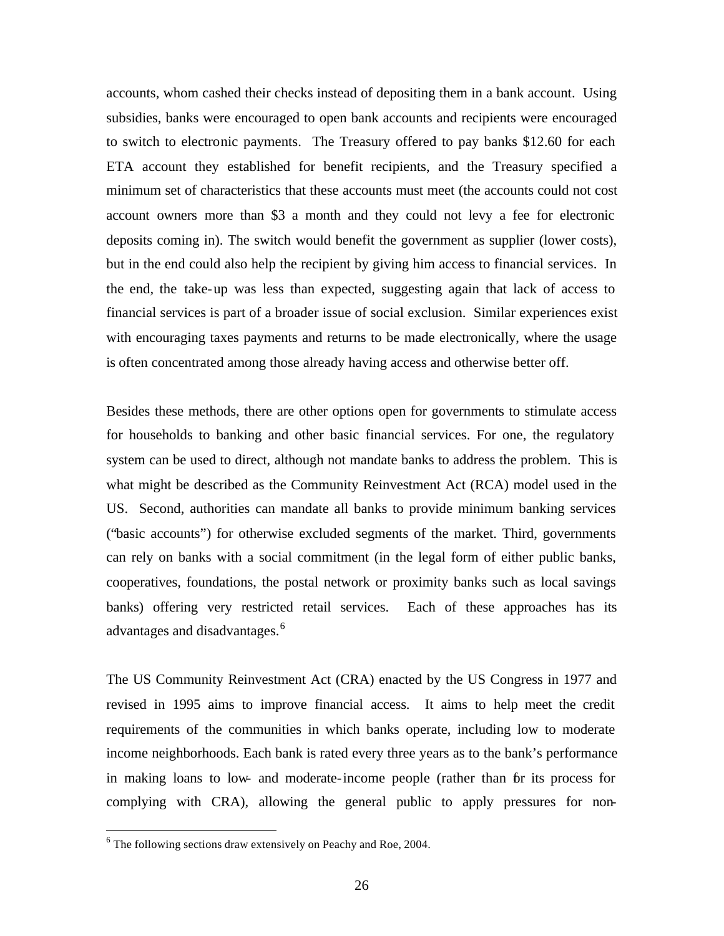accounts, whom cashed their checks instead of depositing them in a bank account. Using subsidies, banks were encouraged to open bank accounts and recipients were encouraged to switch to electronic payments. The Treasury offered to pay banks \$12.60 for each ETA account they established for benefit recipients, and the Treasury specified a minimum set of characteristics that these accounts must meet (the accounts could not cost account owners more than \$3 a month and they could not levy a fee for electronic deposits coming in). The switch would benefit the government as supplier (lower costs), but in the end could also help the recipient by giving him access to financial services. In the end, the take-up was less than expected, suggesting again that lack of access to financial services is part of a broader issue of social exclusion. Similar experiences exist with encouraging taxes payments and returns to be made electronically, where the usage is often concentrated among those already having access and otherwise better off.

Besides these methods, there are other options open for governments to stimulate access for households to banking and other basic financial services. For one, the regulatory system can be used to direct, although not mandate banks to address the problem. This is what might be described as the Community Reinvestment Act (RCA) model used in the US. Second, authorities can mandate all banks to provide minimum banking services ("basic accounts") for otherwise excluded segments of the market. Third, governments can rely on banks with a social commitment (in the legal form of either public banks, cooperatives, foundations, the postal network or proximity banks such as local savings banks) offering very restricted retail services. Each of these approaches has its advantages and disadvantages.<sup>6</sup>

The US Community Reinvestment Act (CRA) enacted by the US Congress in 1977 and revised in 1995 aims to improve financial access. It aims to help meet the credit requirements of the communities in which banks operate, including low to moderate income neighborhoods. Each bank is rated every three years as to the bank's performance in making loans to low- and moderate-income people (rather than for its process for complying with CRA), allowing the general public to apply pressures for non-

 $\overline{a}$ 

 $6$  The following sections draw extensively on Peachy and Roe, 2004.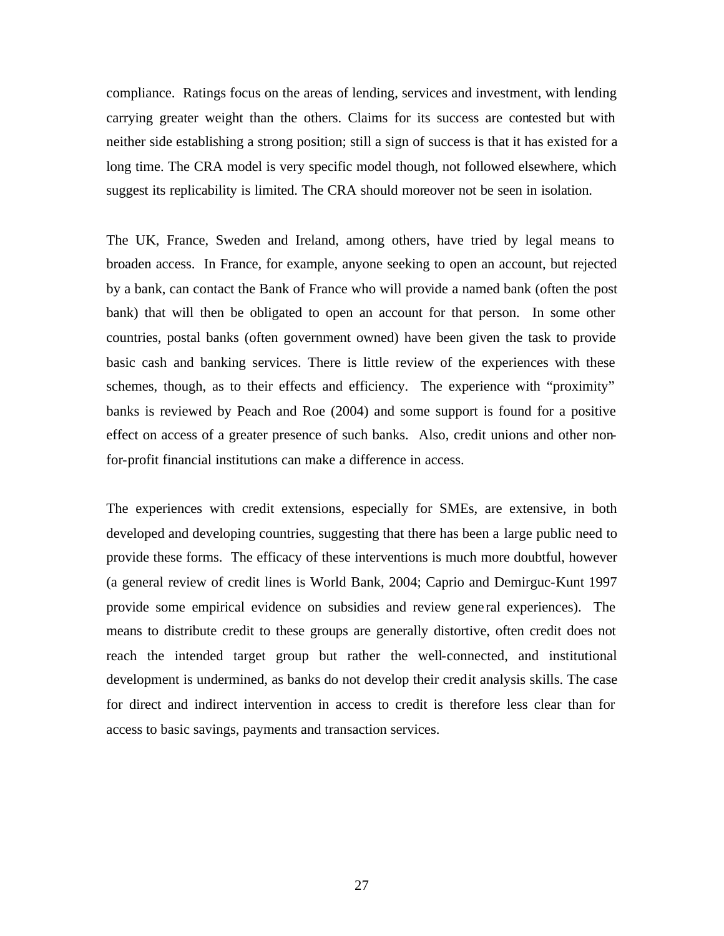compliance. Ratings focus on the areas of lending, services and investment, with lending carrying greater weight than the others. Claims for its success are contested but with neither side establishing a strong position; still a sign of success is that it has existed for a long time. The CRA model is very specific model though, not followed elsewhere, which suggest its replicability is limited. The CRA should moreover not be seen in isolation.

The UK, France, Sweden and Ireland, among others, have tried by legal means to broaden access. In France, for example, anyone seeking to open an account, but rejected by a bank, can contact the Bank of France who will provide a named bank (often the post bank) that will then be obligated to open an account for that person. In some other countries, postal banks (often government owned) have been given the task to provide basic cash and banking services. There is little review of the experiences with these schemes, though, as to their effects and efficiency. The experience with "proximity" banks is reviewed by Peach and Roe (2004) and some support is found for a positive effect on access of a greater presence of such banks. Also, credit unions and other nonfor-profit financial institutions can make a difference in access.

The experiences with credit extensions, especially for SMEs, are extensive, in both developed and developing countries, suggesting that there has been a large public need to provide these forms. The efficacy of these interventions is much more doubtful, however (a general review of credit lines is World Bank, 2004; Caprio and Demirguc-Kunt 1997 provide some empirical evidence on subsidies and review gene ral experiences). The means to distribute credit to these groups are generally distortive, often credit does not reach the intended target group but rather the well-connected, and institutional development is undermined, as banks do not develop their credit analysis skills. The case for direct and indirect intervention in access to credit is therefore less clear than for access to basic savings, payments and transaction services.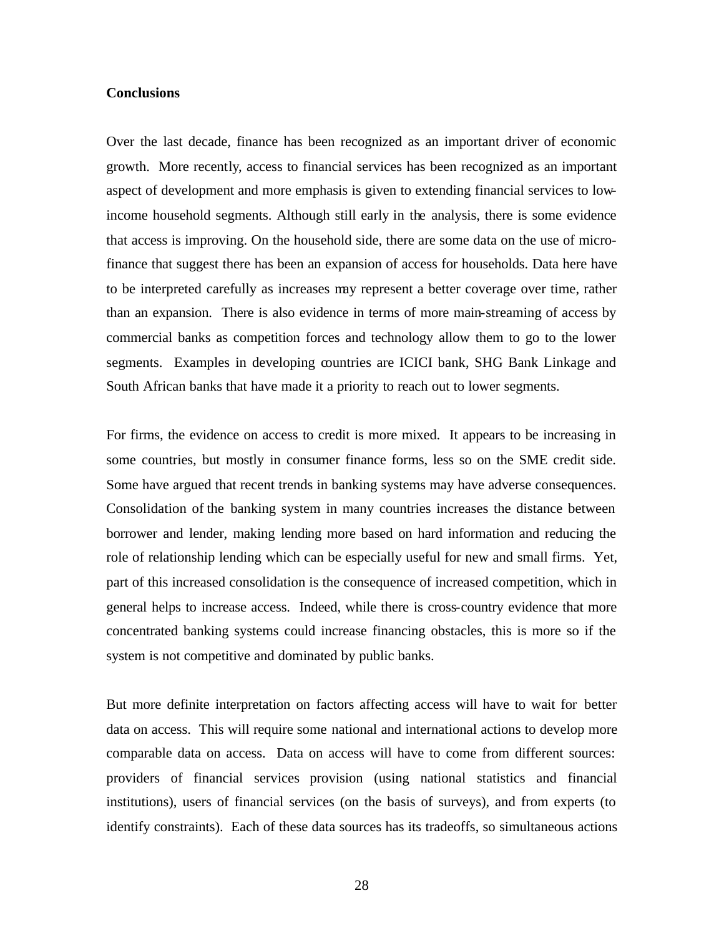#### **Conclusions**

Over the last decade, finance has been recognized as an important driver of economic growth. More recently, access to financial services has been recognized as an important aspect of development and more emphasis is given to extending financial services to lowincome household segments. Although still early in the analysis, there is some evidence that access is improving. On the household side, there are some data on the use of microfinance that suggest there has been an expansion of access for households. Data here have to be interpreted carefully as increases may represent a better coverage over time, rather than an expansion. There is also evidence in terms of more main-streaming of access by commercial banks as competition forces and technology allow them to go to the lower segments. Examples in developing countries are ICICI bank, SHG Bank Linkage and South African banks that have made it a priority to reach out to lower segments.

For firms, the evidence on access to credit is more mixed. It appears to be increasing in some countries, but mostly in consumer finance forms, less so on the SME credit side. Some have argued that recent trends in banking systems may have adverse consequences. Consolidation of the banking system in many countries increases the distance between borrower and lender, making lending more based on hard information and reducing the role of relationship lending which can be especially useful for new and small firms. Yet, part of this increased consolidation is the consequence of increased competition, which in general helps to increase access. Indeed, while there is cross-country evidence that more concentrated banking systems could increase financing obstacles, this is more so if the system is not competitive and dominated by public banks.

But more definite interpretation on factors affecting access will have to wait for better data on access. This will require some national and international actions to develop more comparable data on access. Data on access will have to come from different sources: providers of financial services provision (using national statistics and financial institutions), users of financial services (on the basis of surveys), and from experts (to identify constraints). Each of these data sources has its tradeoffs, so simultaneous actions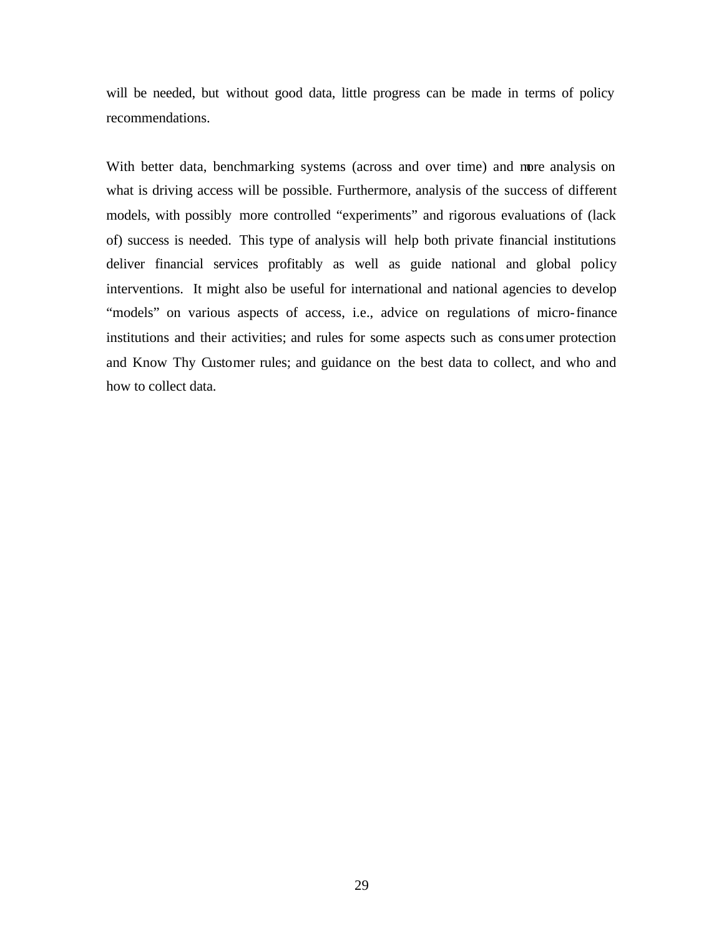will be needed, but without good data, little progress can be made in terms of policy recommendations.

With better data, benchmarking systems (across and over time) and more analysis on what is driving access will be possible. Furthermore, analysis of the success of different models, with possibly more controlled "experiments" and rigorous evaluations of (lack of) success is needed. This type of analysis will help both private financial institutions deliver financial services profitably as well as guide national and global policy interventions. It might also be useful for international and national agencies to develop "models" on various aspects of access, i.e., advice on regulations of micro-finance institutions and their activities; and rules for some aspects such as consumer protection and Know Thy Customer rules; and guidance on the best data to collect, and who and how to collect data.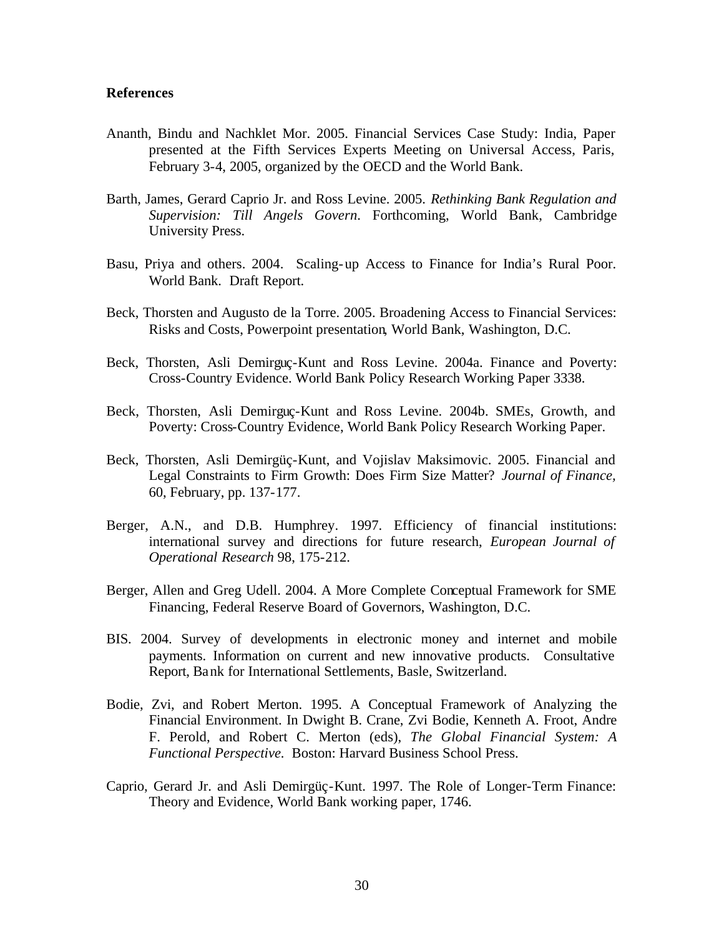#### **References**

- Ananth, Bindu and Nachklet Mor. 2005. Financial Services Case Study: India, Paper presented at the Fifth Services Experts Meeting on Universal Access, Paris, February 3-4, 2005, organized by the OECD and the World Bank.
- Barth, James, Gerard Caprio Jr. and Ross Levine. 2005. *Rethinking Bank Regulation and Supervision: Till Angels Govern*. Forthcoming, World Bank, Cambridge University Press.
- Basu, Priya and others. 2004. Scaling-up Access to Finance for India's Rural Poor. World Bank. Draft Report.
- Beck, Thorsten and Augusto de la Torre. 2005. Broadening Access to Financial Services: Risks and Costs, Powerpoint presentation, World Bank, Washington, D.C.
- Beck, Thorsten, Asli Demirguç-Kunt and Ross Levine. 2004a. Finance and Poverty: Cross-Country Evidence. World Bank Policy Research Working Paper 3338.
- Beck, Thorsten, Asli Demirguç-Kunt and Ross Levine. 2004b. SMEs, Growth, and Poverty: Cross-Country Evidence, World Bank Policy Research Working Paper.
- Beck, Thorsten, Asli Demirgüç-Kunt, and Vojislav Maksimovic. 2005. Financial and Legal Constraints to Firm Growth: Does Firm Size Matter? *Journal of Finance,*  60, February, pp. 137-177.
- Berger, A.N., and D.B. Humphrey. 1997. Efficiency of financial institutions: international survey and directions for future research, *European Journal of Operational Research* 98, 175-212.
- Berger, Allen and Greg Udell. 2004. A More Complete Conceptual Framework for SME Financing, Federal Reserve Board of Governors, Washington, D.C.
- BIS. 2004. Survey of developments in electronic money and internet and mobile payments. Information on current and new innovative products. Consultative Report, Bank for International Settlements, Basle, Switzerland.
- Bodie, Zvi, and Robert Merton. 1995. A Conceptual Framework of Analyzing the Financial Environment. In Dwight B. Crane, Zvi Bodie, Kenneth A. Froot, Andre F. Perold, and Robert C. Merton (eds), *The Global Financial System: A Functional Perspective.* Boston: Harvard Business School Press.
- Caprio, Gerard Jr. and Asli Demirgüç-Kunt. 1997. The Role of Longer-Term Finance: Theory and Evidence, World Bank working paper, 1746.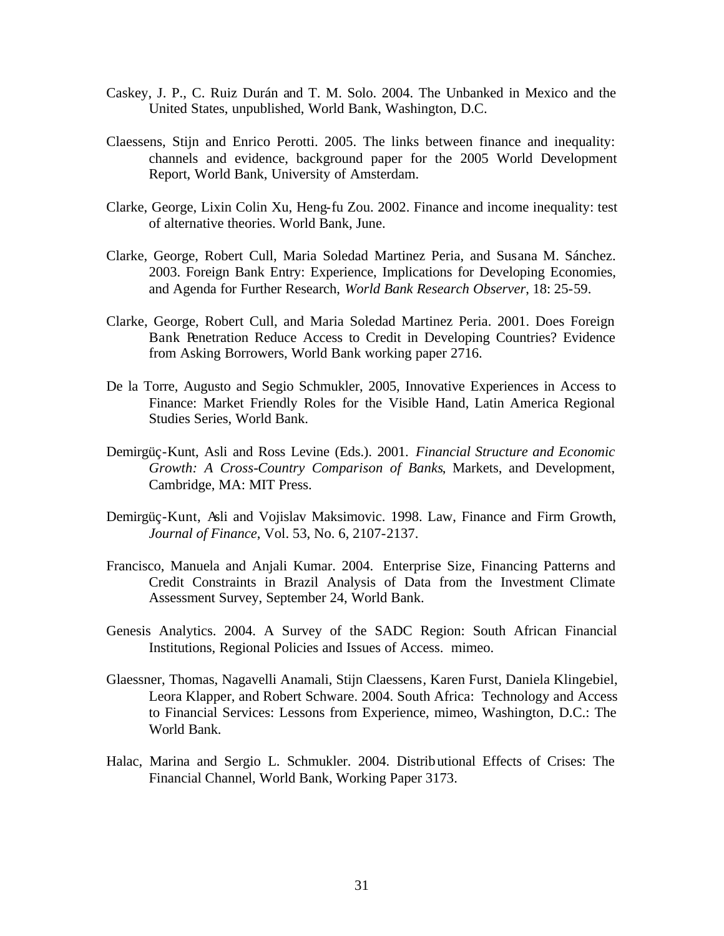- Caskey, J. P., C. Ruiz Durán and T. M. Solo. 2004. The Unbanked in Mexico and the United States, unpublished, World Bank, Washington, D.C.
- Claessens, Stijn and Enrico Perotti. 2005. The links between finance and inequality: channels and evidence, background paper for the 2005 World Development Report, World Bank, University of Amsterdam.
- Clarke, George, Lixin Colin Xu, Heng-fu Zou. 2002. Finance and income inequality: test of alternative theories. World Bank, June.
- Clarke, George, Robert Cull, Maria Soledad Martinez Peria, and Susana M. Sánchez. 2003. Foreign Bank Entry: Experience, Implications for Developing Economies, and Agenda for Further Research, *World Bank Research Observer*, 18: 25-59.
- Clarke, George, Robert Cull, and Maria Soledad Martinez Peria. 2001. Does Foreign Bank Penetration Reduce Access to Credit in Developing Countries? Evidence from Asking Borrowers, World Bank working paper 2716.
- De la Torre, Augusto and Segio Schmukler, 2005, Innovative Experiences in Access to Finance: Market Friendly Roles for the Visible Hand, Latin America Regional Studies Series, World Bank.
- Demirgüç-Kunt, Asli and Ross Levine (Eds.). 2001. *Financial Structure and Economic Growth: A Cross-Country Comparison of Banks*, Markets, and Development, Cambridge, MA: MIT Press.
- Demirgüç-Kunt, Asli and Vojislav Maksimovic. 1998. Law, Finance and Firm Growth, *Journal of Finance*, Vol. 53, No. 6, 2107-2137.
- Francisco, Manuela and Anjali Kumar. 2004. Enterprise Size, Financing Patterns and Credit Constraints in Brazil Analysis of Data from the Investment Climate Assessment Survey, September 24, World Bank.
- Genesis Analytics. 2004. A Survey of the SADC Region: South African Financial Institutions, Regional Policies and Issues of Access. mimeo.
- Glaessner, Thomas, Nagavelli Anamali, Stijn Claessens, Karen Furst, Daniela Klingebiel, Leora Klapper, and Robert Schware. 2004. South Africa: Technology and Access to Financial Services: Lessons from Experience, mimeo, Washington, D.C.: The World Bank.
- Halac, Marina and Sergio L. Schmukler. 2004. Distributional Effects of Crises: The Financial Channel, World Bank, Working Paper 3173.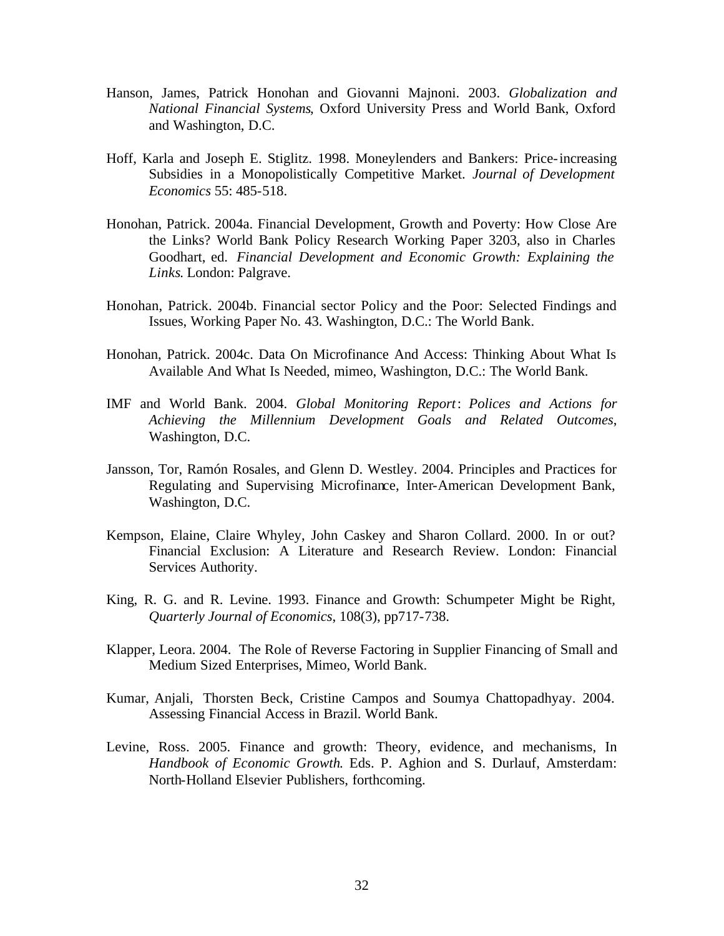- Hanson, James, Patrick Honohan and Giovanni Majnoni. 2003. *Globalization and National Financial Systems*, Oxford University Press and World Bank, Oxford and Washington, D.C.
- Hoff, Karla and Joseph E. Stiglitz. 1998. Moneylenders and Bankers: Price-increasing Subsidies in a Monopolistically Competitive Market. *Journal of Development Economics* 55: 485-518.
- Honohan, Patrick. 2004a. Financial Development, Growth and Poverty: How Close Are the Links? World Bank Policy Research Working Paper 3203, also in Charles Goodhart, ed. *Financial Development and Economic Growth: Explaining the Links*. London: Palgrave.
- Honohan, Patrick. 2004b. Financial sector Policy and the Poor: Selected Findings and Issues, Working Paper No. 43. Washington, D.C.: The World Bank.
- Honohan, Patrick. 2004c. Data On Microfinance And Access: Thinking About What Is Available And What Is Needed, mimeo, Washington, D.C.: The World Bank.
- IMF and World Bank. 2004. *Global Monitoring Report*: *Polices and Actions for Achieving the Millennium Development Goals and Related Outcomes*, Washington, D.C.
- Jansson, Tor, Ramón Rosales, and Glenn D. Westley. 2004. Principles and Practices for Regulating and Supervising Microfinance, Inter-American Development Bank, Washington, D.C.
- Kempson, Elaine, Claire Whyley, John Caskey and Sharon Collard. 2000. In or out? Financial Exclusion: A Literature and Research Review. London: Financial Services Authority.
- King, R. G. and R. Levine. 1993. Finance and Growth: Schumpeter Might be Right, *Quarterly Journal of Economics*, 108(3), pp717-738.
- Klapper, Leora. 2004. The Role of Reverse Factoring in Supplier Financing of Small and Medium Sized Enterprises, Mimeo, World Bank.
- Kumar, Anjali, Thorsten Beck, Cristine Campos and Soumya Chattopadhyay. 2004. Assessing Financial Access in Brazil. World Bank.
- Levine, Ross. 2005. Finance and growth: Theory, evidence, and mechanisms, In *Handbook of Economic Growth*. Eds. P. Aghion and S. Durlauf, Amsterdam: North-Holland Elsevier Publishers, forthcoming.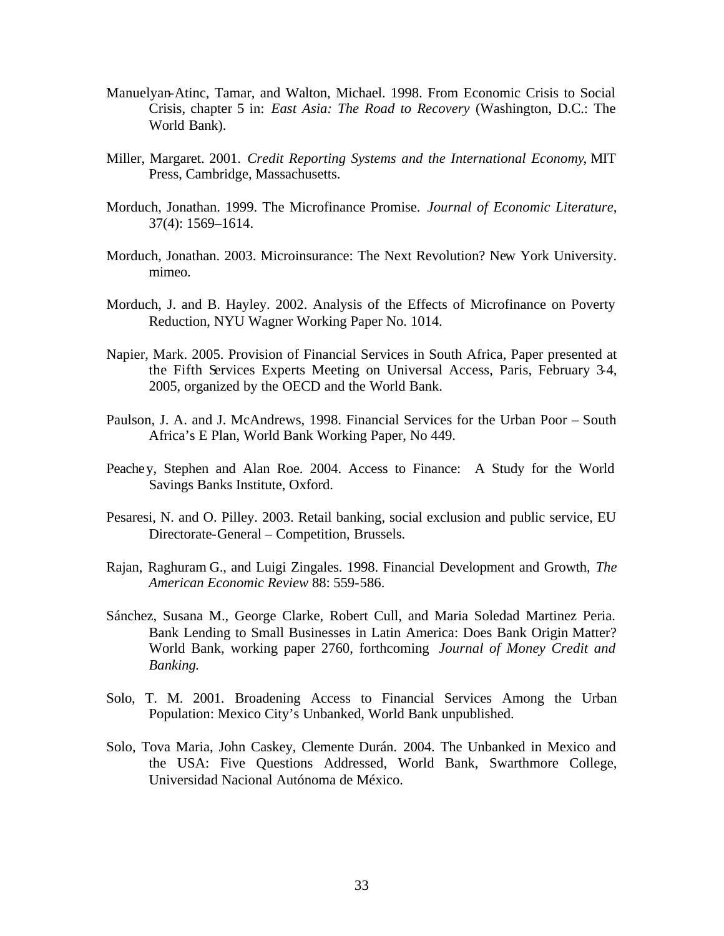- Manuelyan-Atinc, Tamar, and Walton, Michael. 1998. From Economic Crisis to Social Crisis, chapter 5 in: *East Asia: The Road to Recovery* (Washington, D.C.: The World Bank).
- Miller, Margaret. 2001. *Credit Reporting Systems and the International Economy*, MIT Press, Cambridge, Massachusetts.
- Morduch, Jonathan. 1999. The Microfinance Promise. *Journal of Economic Literature*, 37(4): 1569–1614.
- Morduch, Jonathan. 2003. Microinsurance: The Next Revolution? New York University. mimeo.
- Morduch, J. and B. Hayley. 2002. Analysis of the Effects of Microfinance on Poverty Reduction, NYU Wagner Working Paper No. 1014.
- Napier, Mark. 2005. Provision of Financial Services in South Africa, Paper presented at the Fifth Services Experts Meeting on Universal Access, Paris, February 3-4, 2005, organized by the OECD and the World Bank.
- Paulson, J. A. and J. McAndrews, 1998. Financial Services for the Urban Poor South Africa's E Plan, World Bank Working Paper, No 449.
- Peachey, Stephen and Alan Roe. 2004. Access to Finance: A Study for the World Savings Banks Institute, Oxford.
- Pesaresi, N. and O. Pilley. 2003. Retail banking, social exclusion and public service, EU Directorate-General – Competition, Brussels.
- Rajan, Raghuram G., and Luigi Zingales. 1998. Financial Development and Growth, *The American Economic Review* 88: 559-586.
- Sánchez, Susana M., George Clarke, Robert Cull, and Maria Soledad Martinez Peria. Bank Lending to Small Businesses in Latin America: Does Bank Origin Matter? World Bank, working paper 2760, forthcoming *Journal of Money Credit and Banking.*
- Solo, T. M. 2001. Broadening Access to Financial Services Among the Urban Population: Mexico City's Unbanked, World Bank unpublished.
- Solo, Tova Maria, John Caskey, Clemente Durán. 2004. The Unbanked in Mexico and the USA: Five Questions Addressed, World Bank, Swarthmore College, Universidad Nacional Autónoma de México.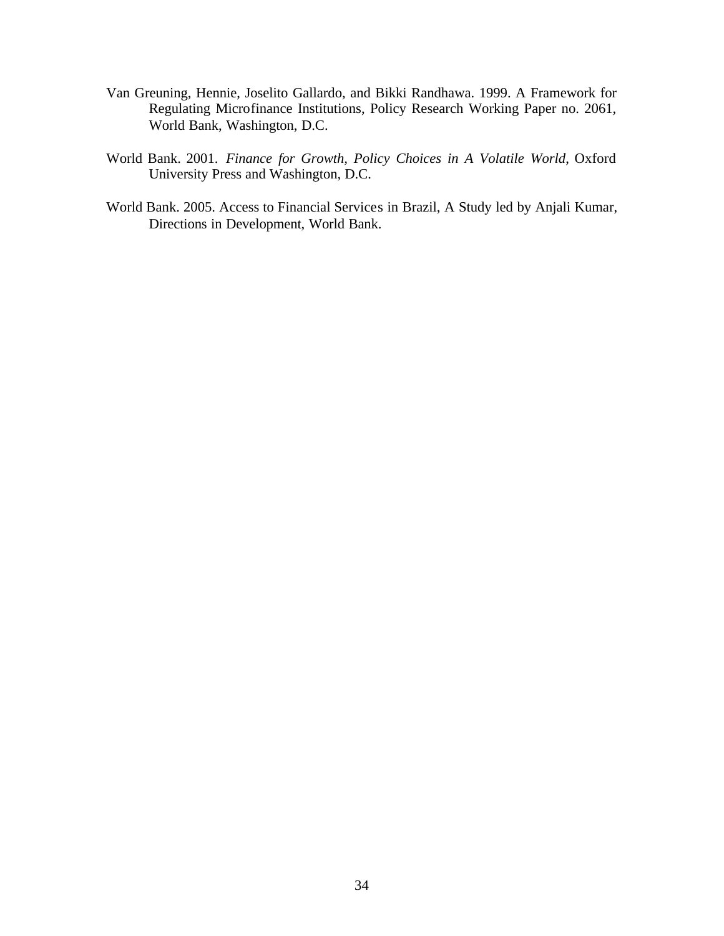- Van Greuning, Hennie, Joselito Gallardo, and Bikki Randhawa. 1999. A Framework for Regulating Microfinance Institutions, Policy Research Working Paper no. 2061, World Bank, Washington, D.C.
- World Bank. 2001. *Finance for Growth, Policy Choices in A Volatile World*, Oxford University Press and Washington, D.C.
- World Bank. 2005. Access to Financial Services in Brazil, A Study led by Anjali Kumar, Directions in Development, World Bank.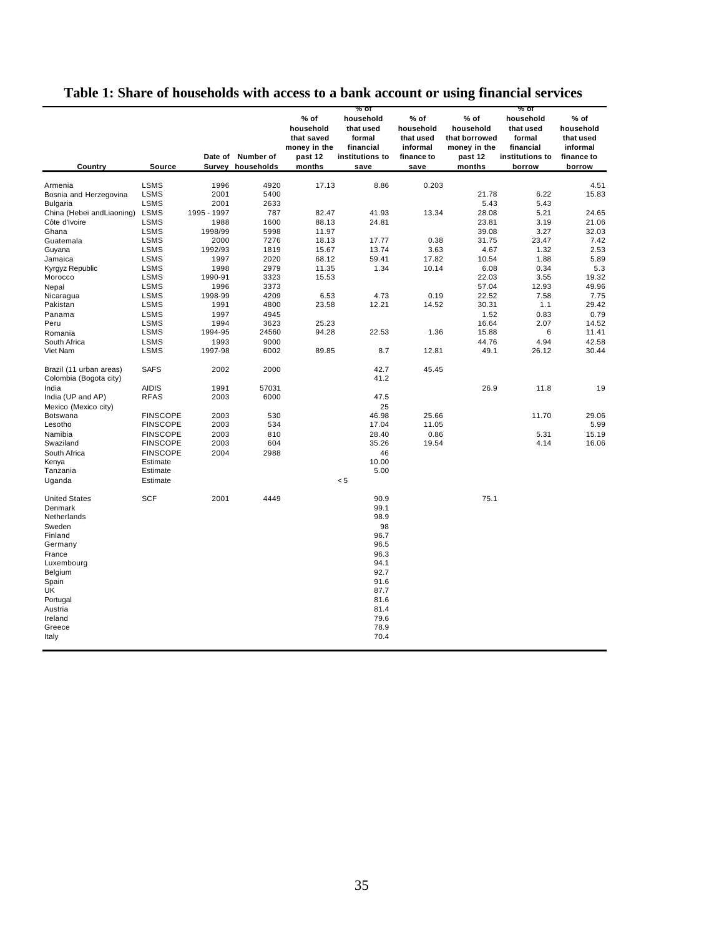# **Table 1: Share of households with access to a bank account or using financial services**

|                            |                 |             |                   |              | % ot            |            |               | % ot            |            |
|----------------------------|-----------------|-------------|-------------------|--------------|-----------------|------------|---------------|-----------------|------------|
|                            |                 |             |                   | $%$ of       | household       | $%$ of     | % of          | household       | $%$ of     |
|                            |                 |             |                   | household    | that used       | household  | household     | that used       | household  |
|                            |                 |             |                   | that saved   | formal          | that used  | that borrowed | formal          | that used  |
|                            |                 |             |                   | money in the | financial       | informal   | money in the  | financial       | informal   |
|                            |                 |             | Date of Number of |              | institutions to | finance to |               | institutions to | finance to |
|                            |                 |             |                   | past 12      |                 |            | past 12       |                 |            |
| Country                    | Source          |             | Survey households | months       | save            | save       | months        | borrow          | borrow     |
| Armenia                    | <b>LSMS</b>     | 1996        | 4920              | 17.13        | 8.86            | 0.203      |               |                 | 4.51       |
|                            | <b>LSMS</b>     | 2001        | 5400              |              |                 |            | 21.78         | 6.22            | 15.83      |
| Bosnia and Herzegovina     |                 |             |                   |              |                 |            |               |                 |            |
| <b>Bulgaria</b>            | <b>LSMS</b>     | 2001        | 2633              |              |                 |            | 5.43          | 5.43            |            |
| China (Hebei and Liaoning) | LSMS            | 1995 - 1997 | 787               | 82.47        | 41.93           | 13.34      | 28.08         | 5.21            | 24.65      |
| Côte d'Ivoire              | <b>LSMS</b>     | 1988        | 1600              | 88.13        | 24.81           |            | 23.81         | 3.19            | 21.06      |
| Ghana                      | <b>LSMS</b>     | 1998/99     | 5998              | 11.97        |                 |            | 39.08         | 3.27            | 32.03      |
| Guatemala                  | <b>LSMS</b>     | 2000        | 7276              | 18.13        | 17.77           | 0.38       | 31.75         | 23.47           | 7.42       |
| Guyana                     | <b>LSMS</b>     | 1992/93     | 1819              | 15.67        | 13.74           | 3.63       | 4.67          | 1.32            | 2.53       |
| Jamaica                    | <b>LSMS</b>     | 1997        | 2020              | 68.12        | 59.41           | 17.82      | 10.54         | 1.88            | 5.89       |
| Kyrgyz Republic            | <b>LSMS</b>     | 1998        | 2979              | 11.35        | 1.34            | 10.14      | 6.08          | 0.34            | 5.3        |
| Morocco                    | <b>LSMS</b>     | 1990-91     | 3323              | 15.53        |                 |            | 22.03         | 3.55            | 19.32      |
| Nepal                      | <b>LSMS</b>     | 1996        | 3373              |              |                 |            | 57.04         | 12.93           | 49.96      |
| Nicaragua                  | <b>LSMS</b>     | 1998-99     | 4209              | 6.53         | 4.73            | 0.19       | 22.52         | 7.58            | 7.75       |
| Pakistan                   | <b>LSMS</b>     | 1991        | 4800              | 23.58        | 12.21           | 14.52      | 30.31         | 1.1             | 29.42      |
| Panama                     | <b>LSMS</b>     | 1997        | 4945              |              |                 |            | 1.52          | 0.83            | 0.79       |
| Peru                       | <b>LSMS</b>     | 1994        | 3623              | 25.23        |                 |            | 16.64         | 2.07            | 14.52      |
| Romania                    | <b>LSMS</b>     | 1994-95     | 24560             | 94.28        | 22.53           | 1.36       | 15.88         | 6               | 11.41      |
| South Africa               | <b>LSMS</b>     | 1993        | 9000              |              |                 |            | 44.76         | 4.94            | 42.58      |
| Viet Nam                   | <b>LSMS</b>     | 1997-98     | 6002              | 89.85        | 8.7             | 12.81      | 49.1          | 26.12           | 30.44      |
|                            |                 |             |                   |              |                 |            |               |                 |            |
| Brazil (11 urban areas)    | <b>SAFS</b>     | 2002        | 2000              |              | 42.7            | 45.45      |               |                 |            |
| Colombia (Bogota city)     |                 |             |                   |              | 41.2            |            |               |                 |            |
| India                      | <b>AIDIS</b>    | 1991        | 57031             |              |                 |            | 26.9          | 11.8            | 19         |
| India (UP and AP)          | <b>RFAS</b>     | 2003        | 6000              |              | 47.5            |            |               |                 |            |
| Mexico (Mexico city)       |                 |             |                   |              | 25              |            |               |                 |            |
| Botswana                   | <b>FINSCOPE</b> | 2003        | 530               |              | 46.98           | 25.66      |               | 11.70           | 29.06      |
| Lesotho                    | <b>FINSCOPE</b> | 2003        | 534               |              | 17.04           | 11.05      |               |                 | 5.99       |
| Namibia                    | <b>FINSCOPE</b> | 2003        | 810               |              | 28.40           | 0.86       |               | 5.31            | 15.19      |
| Swaziland                  | <b>FINSCOPE</b> | 2003        | 604               |              | 35.26           | 19.54      |               | 4.14            | 16.06      |
|                            |                 |             |                   |              |                 |            |               |                 |            |
| South Africa               | <b>FINSCOPE</b> | 2004        | 2988              |              | 46              |            |               |                 |            |
| Kenya                      | Estimate        |             |                   |              | 10.00           |            |               |                 |            |
| Tanzania                   | Estimate        |             |                   |              | 5.00            |            |               |                 |            |
| Uganda                     | Estimate        |             |                   |              | < 5             |            |               |                 |            |
|                            |                 |             |                   |              |                 |            |               |                 |            |
| <b>United States</b>       | <b>SCF</b>      | 2001        | 4449              |              | 90.9            |            | 75.1          |                 |            |
| Denmark                    |                 |             |                   |              | 99.1            |            |               |                 |            |
| Netherlands                |                 |             |                   |              | 98.9            |            |               |                 |            |
| Sweden                     |                 |             |                   |              | 98              |            |               |                 |            |
| Finland                    |                 |             |                   |              | 96.7            |            |               |                 |            |
| Germany                    |                 |             |                   |              | 96.5            |            |               |                 |            |
| France                     |                 |             |                   |              | 96.3            |            |               |                 |            |
| Luxembourg                 |                 |             |                   |              | 94.1            |            |               |                 |            |
| Belgium                    |                 |             |                   |              | 92.7            |            |               |                 |            |
| Spain                      |                 |             |                   |              | 91.6            |            |               |                 |            |
| UK                         |                 |             |                   |              | 87.7            |            |               |                 |            |
| Portugal                   |                 |             |                   |              | 81.6            |            |               |                 |            |
| Austria                    |                 |             |                   |              | 81.4            |            |               |                 |            |
| Ireland                    |                 |             |                   |              | 79.6            |            |               |                 |            |
| Greece                     |                 |             |                   |              | 78.9            |            |               |                 |            |
| Italy                      |                 |             |                   |              | 70.4            |            |               |                 |            |
|                            |                 |             |                   |              |                 |            |               |                 |            |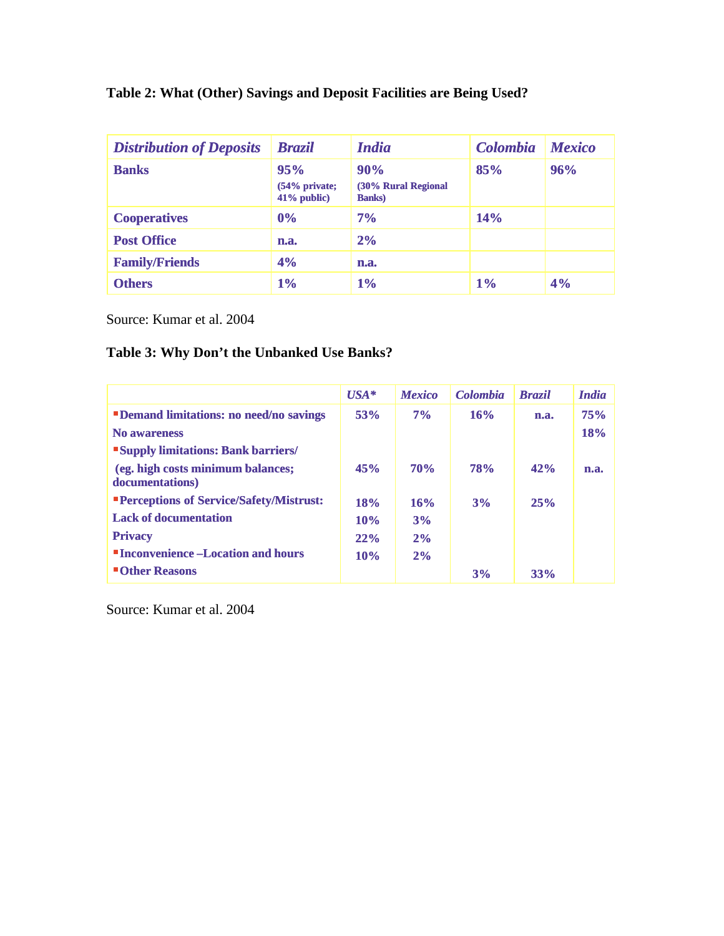|  |  | Table 2: What (Other) Savings and Deposit Facilities are Being Used? |  |
|--|--|----------------------------------------------------------------------|--|
|  |  |                                                                      |  |

| <b>Distribution of Deposits</b> | <b>Brazil</b>                          | <b>India</b>                                 | <b>Colombia</b> | <b>Mexico</b> |
|---------------------------------|----------------------------------------|----------------------------------------------|-----------------|---------------|
| <b>Banks</b>                    | 95%<br>$(54\%$ private;<br>41% public) | 90%<br>(30% Rural Regional<br><b>Banks</b> ) | 85%             | 96%           |
| <b>Cooperatives</b>             | $0\%$                                  | 7%                                           | 14%             |               |
| <b>Post Office</b>              | n.a.                                   | 2%                                           |                 |               |
| <b>Family/Friends</b>           | 4%                                     | n.a.                                         |                 |               |
| <b>Others</b>                   | 1%                                     | 1%                                           | $1\%$           | 4%            |

Source: Kumar et al. 2004

## **Table 3: Why Don't the Unbanked Use Banks?**

|                                                      | $USA*$ | <b>Mexico</b> | <b>Colombia</b> | <b>Brazil</b> | <i>India</i> |
|------------------------------------------------------|--------|---------------|-----------------|---------------|--------------|
| <b>Demand limitations: no need/no savings</b>        | 53%    | 7%            | 16%             | n.a.          | 75%          |
| No awareness                                         |        |               |                 |               | <b>18%</b>   |
| "Supply limitations: Bank barriers/                  |        |               |                 |               |              |
| (eg. high costs minimum balances;<br>documentations) | 45%    | <b>70%</b>    | <b>78%</b>      | 42%           | n.a.         |
| <b>"Perceptions of Service/Safety/Mistrust:</b>      | 18%    | 16%           | 3%              | 25%           |              |
| <b>Lack of documentation</b>                         | 10%    | 3%            |                 |               |              |
| <b>Privacy</b>                                       | 22%    | 2%            |                 |               |              |
| <b>Inconvenience –Location and hours</b>             | 10%    | 2%            |                 |               |              |
| "Other Reasons                                       |        |               | 3%              | 33%           |              |

Source: Kumar et al. 2004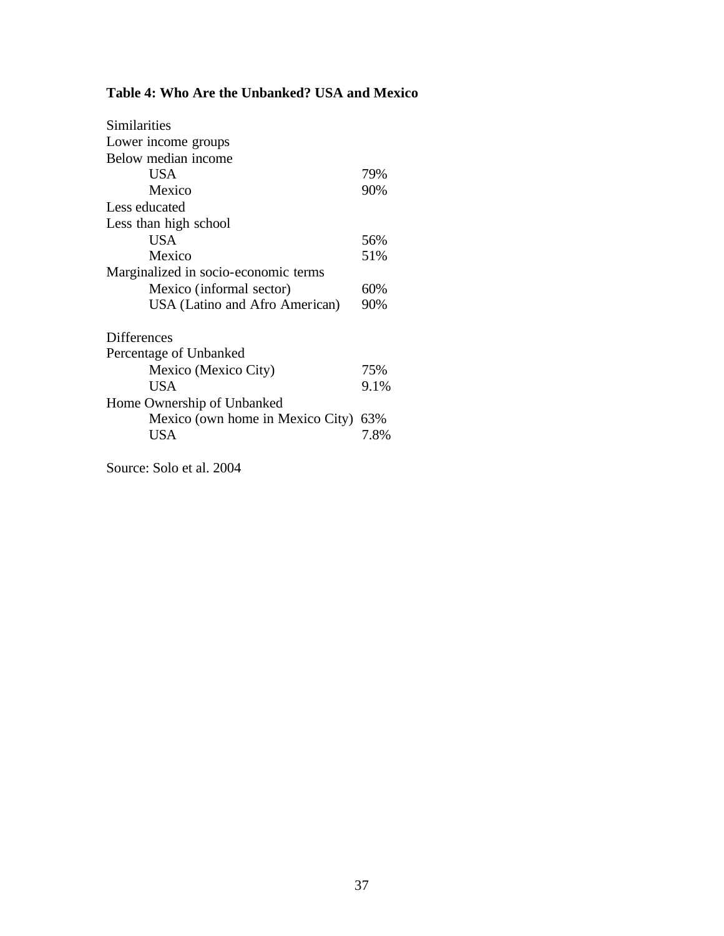### **Table 4: Who Are the Unbanked? USA and Mexico**

| Similarities                         |      |
|--------------------------------------|------|
| Lower income groups                  |      |
| Below median income                  |      |
| <b>USA</b>                           | 79%  |
| Mexico                               | 90%  |
| Less educated                        |      |
| Less than high school                |      |
| USA                                  | 56%  |
| Mexico                               | 51%  |
| Marginalized in socio-economic terms |      |
| Mexico (informal sector)             | 60%  |
| USA (Latino and Afro American)       | 90%  |
| <b>Differences</b>                   |      |
| Percentage of Unbanked               |      |
| Mexico (Mexico City)                 | 75%  |
| <b>USA</b>                           | 9.1% |
| Home Ownership of Unbanked           |      |
| Mexico (own home in Mexico City)     | 63%  |
| USA                                  | 7.8% |
|                                      |      |

Source: Solo et al. 2004